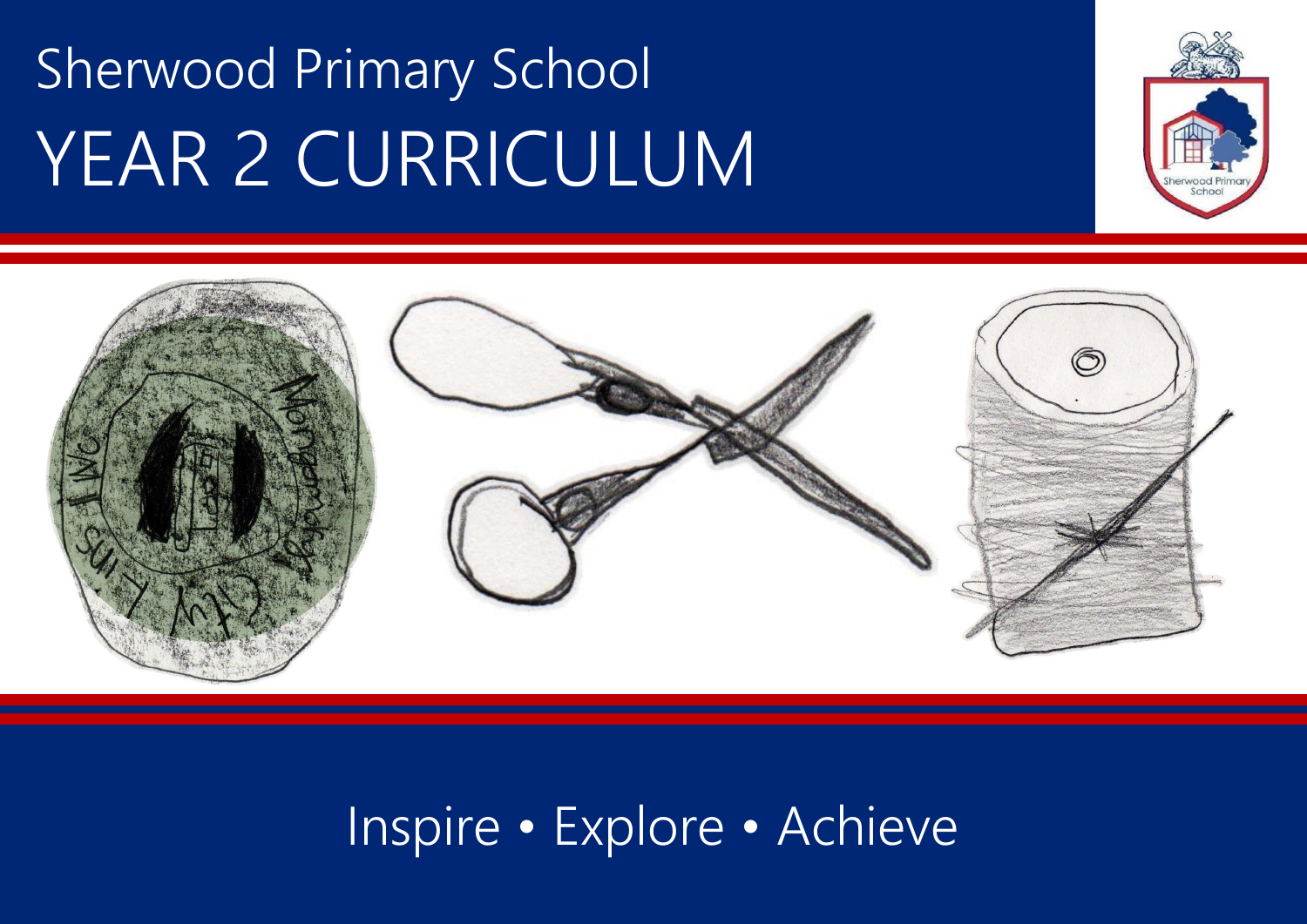# Sherwood Primary School YEAR 2 CURRICULUM





### Inspire • Explore • Achieve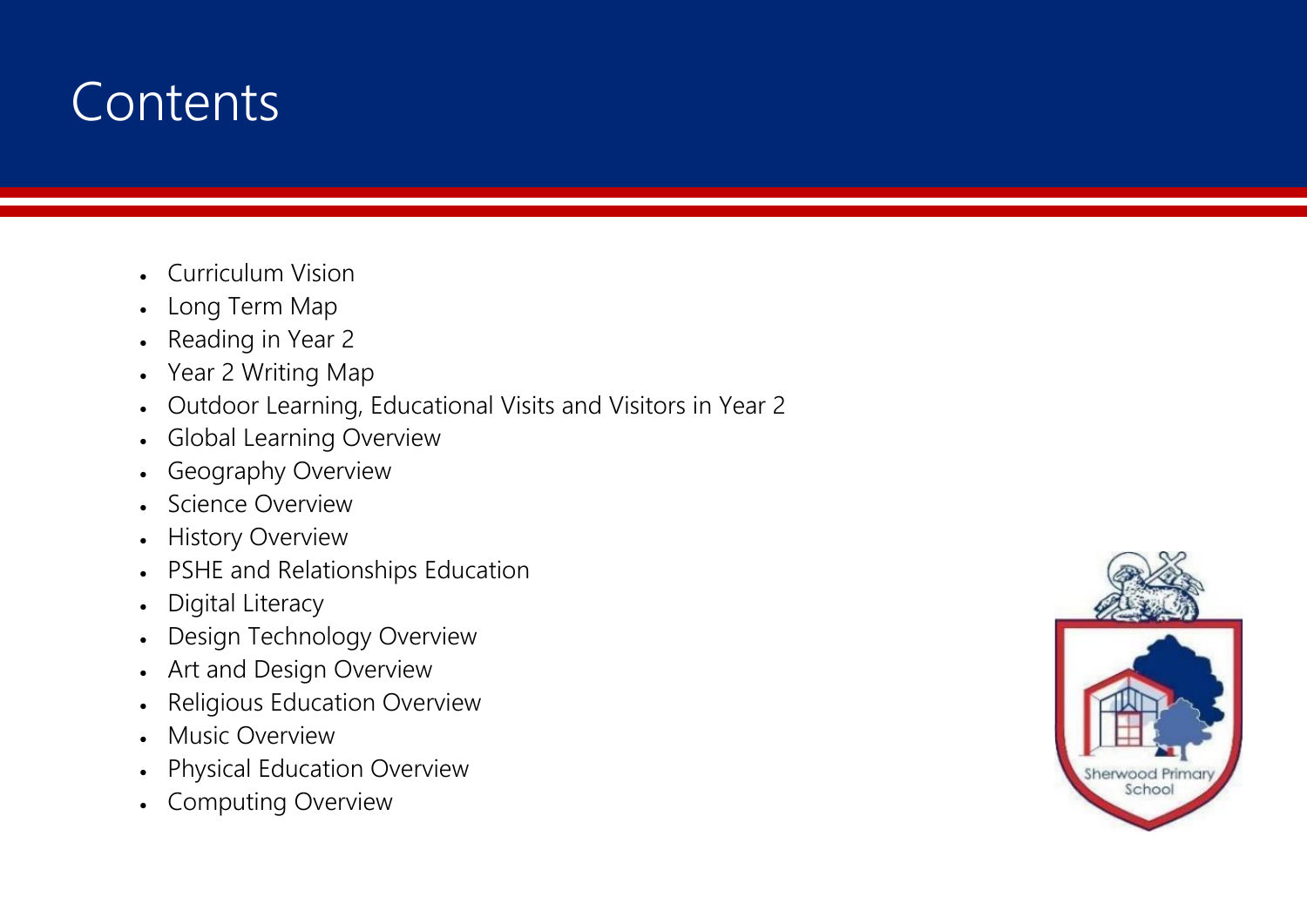### **Contents**

- Curriculum Vision
- Long Term Map
- Reading in Year 2
- Year 2 Writing Map
- Outdoor Learning, Educational Visits and Visitors in Year 2
- Global Learning Overview
- Geography Overview
- Science Overview
- History Overview
- PSHE and Relationships Education
- Digital Literacy
- Design Technology Overview
- Art and Design Overview
- Religious Education Overview
- Music Overview
- Physical Education Overview
- Computing Overview

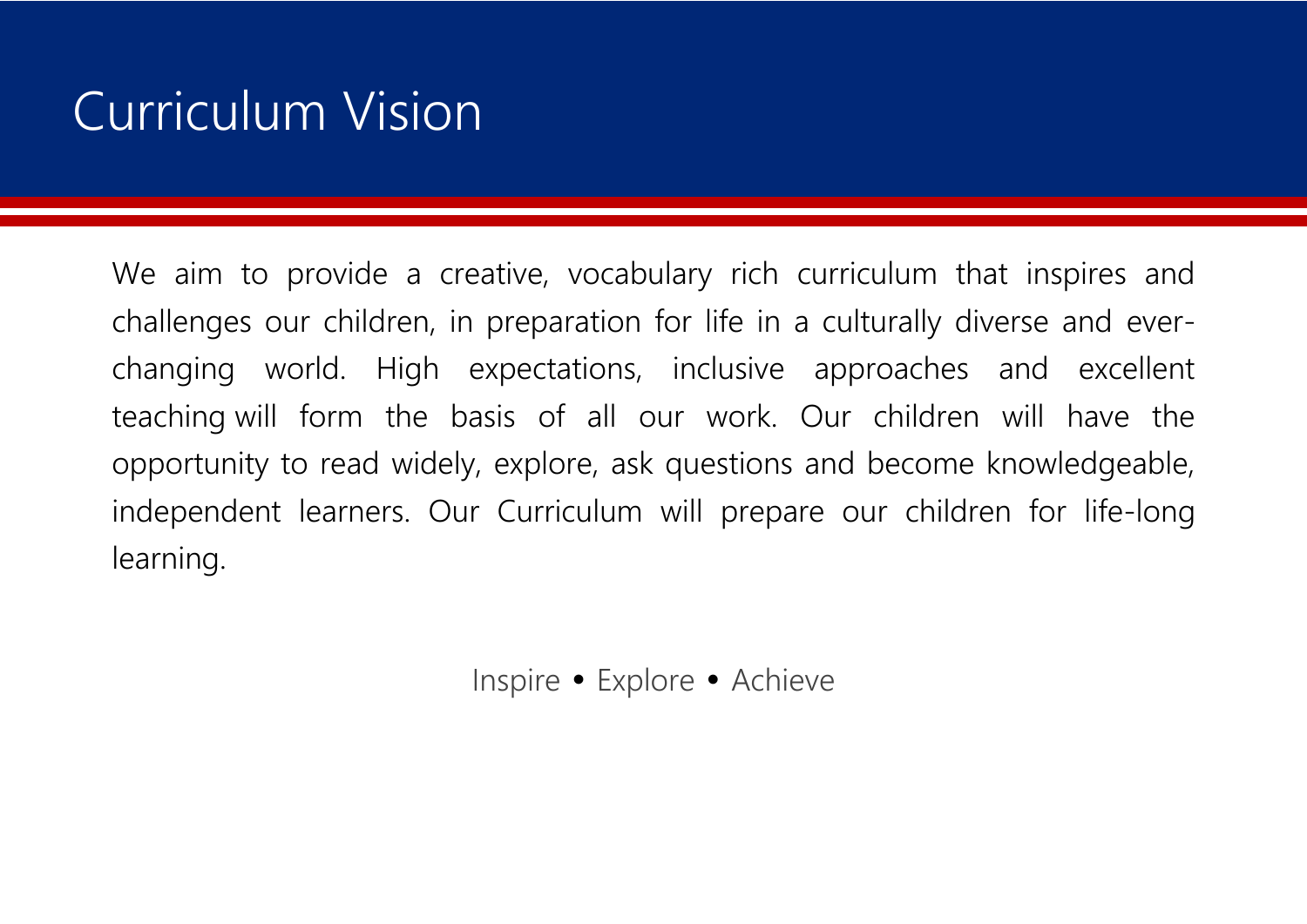### Curriculum Vision

We aim to provide a creative, vocabulary rich curriculum that inspires and challenges our children, in preparation for life in a culturally diverse and everchanging world. High expectations, inclusive approaches and excellent teaching will form the basis of all our work. Our children will have the opportunity to read widely, explore, ask questions and become knowledgeable, independent learners. Our Curriculum will prepare our children for life-long learning.

Inspire • Explore • Achieve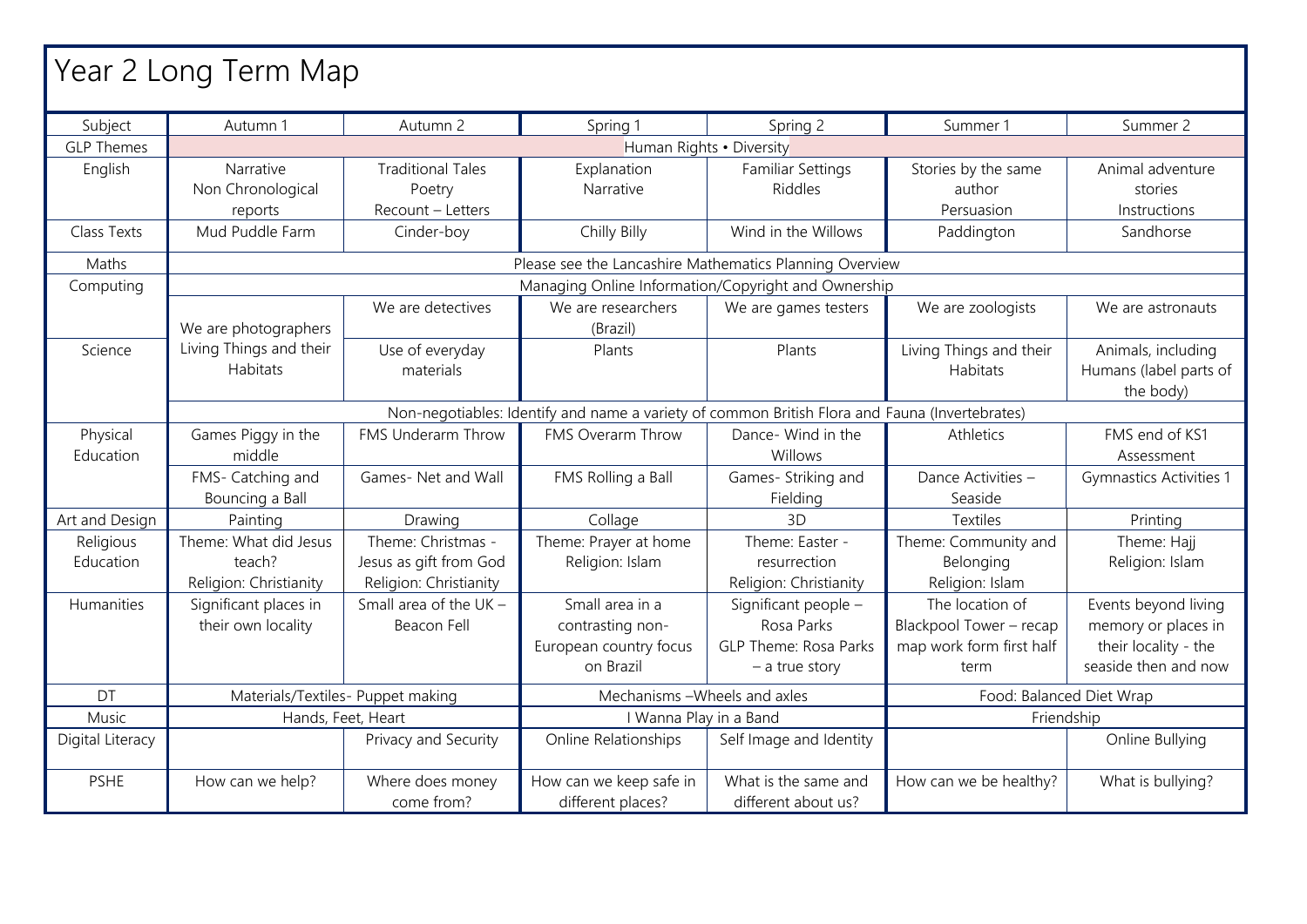| Year 2 Long Term Map |                                   |                                |                                                                                                |                                             |                          |                                     |
|----------------------|-----------------------------------|--------------------------------|------------------------------------------------------------------------------------------------|---------------------------------------------|--------------------------|-------------------------------------|
| Subject              | Autumn 1                          | Autumn 2                       | Spring 1                                                                                       | Spring 2                                    | Summer 1                 | Summer 2                            |
| <b>GLP Themes</b>    |                                   |                                |                                                                                                | Human Rights · Diversity                    |                          |                                     |
| English              | Narrative                         | <b>Traditional Tales</b>       | Explanation                                                                                    | <b>Familiar Settings</b>                    | Stories by the same      | Animal adventure                    |
|                      | Non Chronological                 | Poetry                         | Narrative                                                                                      | Riddles                                     | author                   | stories                             |
|                      | reports                           | Recount - Letters              |                                                                                                |                                             | Persuasion               | <i><u><b>Instructions</b></u></i>   |
| Class Texts          | Mud Puddle Farm                   | Cinder-boy                     | Chilly Billy                                                                                   | Wind in the Willows                         | Paddington               | Sandhorse                           |
| Maths                |                                   |                                | Please see the Lancashire Mathematics Planning Overview                                        |                                             |                          |                                     |
| Computing            |                                   |                                | Managing Online Information/Copyright and Ownership                                            |                                             |                          |                                     |
|                      | We are photographers              | We are detectives              | We are researchers<br>(Brazil)                                                                 | We are games testers                        | We are zoologists        | We are astronauts                   |
| Science              | Living Things and their           | Use of everyday                | Plants                                                                                         | Plants                                      | Living Things and their  | Animals, including                  |
|                      | <b>Habitats</b>                   | materials                      |                                                                                                |                                             | <b>Habitats</b>          | Humans (label parts of<br>the body) |
|                      |                                   |                                | Non-negotiables: Identify and name a variety of common British Flora and Fauna (Invertebrates) |                                             |                          |                                     |
| Physical             | Games Piggy in the                | FMS Underarm Throw             | FMS Overarm Throw                                                                              | Dance- Wind in the                          | Athletics                | FMS end of KS1                      |
| Education            | middle                            |                                |                                                                                                | Willows                                     |                          | Assessment                          |
|                      | FMS- Catching and                 | Games- Net and Wall            | FMS Rolling a Ball                                                                             | Games- Striking and                         | Dance Activities -       | <b>Gymnastics Activities 1</b>      |
|                      | Bouncing a Ball                   |                                |                                                                                                | Fielding                                    | Seaside                  |                                     |
| Art and Design       | Painting                          | Drawing                        | Collage                                                                                        | 3D                                          | Textiles                 | Printing                            |
| Religious            | Theme: What did Jesus             | Theme: Christmas -             | Theme: Prayer at home                                                                          | Theme: Easter -                             | Theme: Community and     | Theme: Hajj                         |
| Education            | teach?                            | Jesus as gift from God         | Religion: Islam                                                                                | resurrection                                | Belonging                | Religion: Islam                     |
|                      | Religion: Christianity            | Religion: Christianity         |                                                                                                | Religion: Christianity                      | Religion: Islam          |                                     |
| Humanities           | Significant places in             | Small area of the UK -         | Small area in a                                                                                | Significant people -                        | The location of          | Events beyond living                |
|                      | their own locality                | Beacon Fell                    | contrasting non-                                                                               | Rosa Parks                                  | Blackpool Tower - recap  | memory or places in                 |
|                      |                                   |                                | European country focus                                                                         | <b>GLP Theme: Rosa Parks</b>                | map work form first half | their locality - the                |
|                      |                                   |                                | on Brazil                                                                                      | $-$ a true story                            | term                     | seaside then and now                |
| DT                   | Materials/Textiles- Puppet making |                                | Mechanisms - Wheels and axles                                                                  |                                             |                          | Food: Balanced Diet Wrap            |
| Music                |                                   | Hands, Feet, Heart             | I Wanna Play in a Band                                                                         |                                             | Friendship               |                                     |
| Digital Literacy     |                                   | Privacy and Security           | Online Relationships                                                                           | Self Image and Identity                     |                          | Online Bullying                     |
| <b>PSHE</b>          | How can we help?                  | Where does money<br>come from? | How can we keep safe in<br>different places?                                                   | What is the same and<br>different about us? | How can we be healthy?   | What is bullying?                   |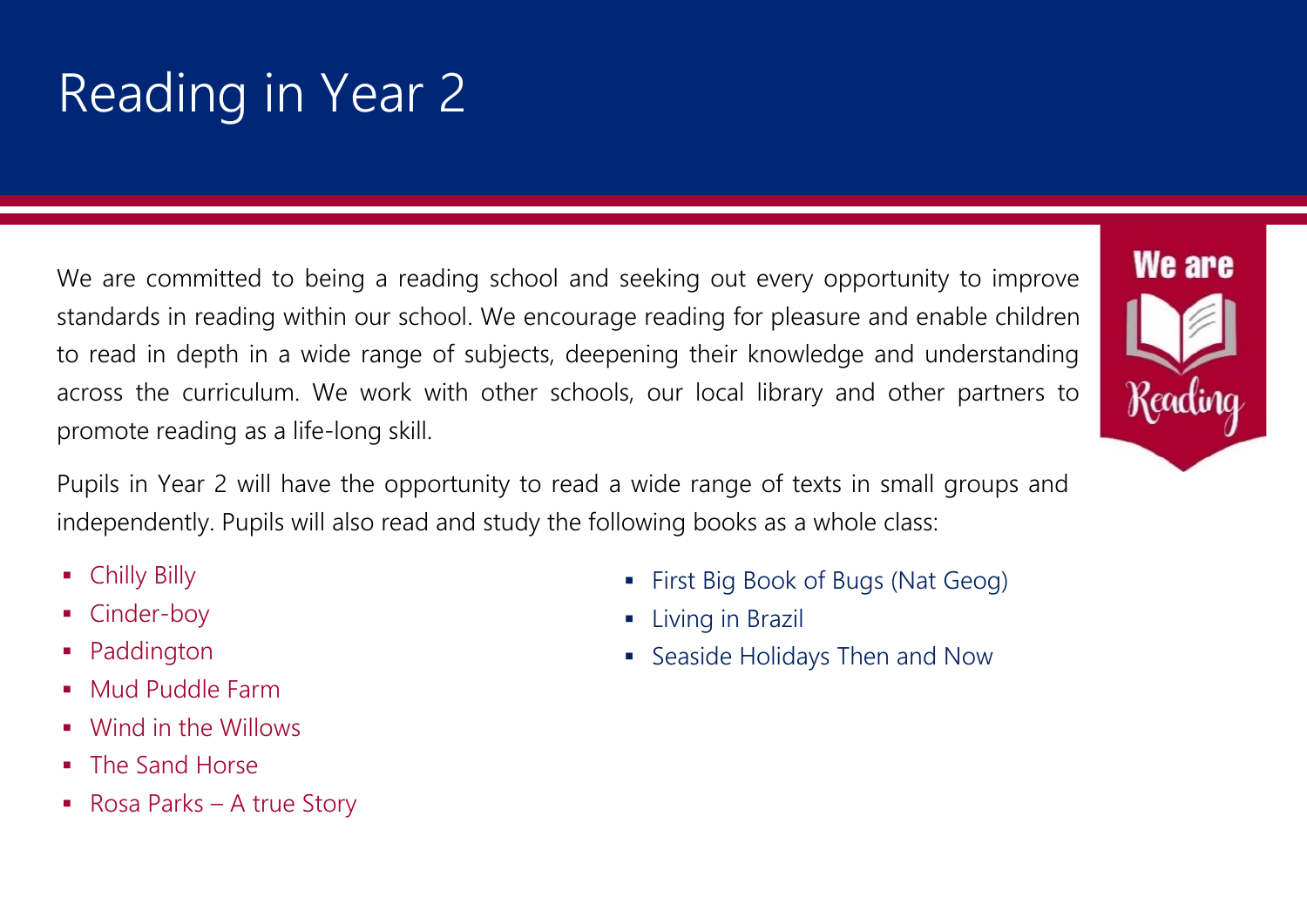# Reading in Year 2

We are committed to being a reading school and seeking out every opportunity to improve standards in reading within our school. We encourage reading for pleasure and enable children to read in depth in a wide range of subjects, deepening their knowledge and understanding across the curriculum. We work with other schools, our local library and other partners to promote reading as a life-long skill.

Pupils in Year 2 will have the opportunity to read a wide range of texts in small groups and independently. Pupils will also read and study the following books as a whole class:

- Chilly Billy
- Cinder-boy
- Paddington
- Mud Puddle Farm
- Wind in the Willows
- **The Sand Horse**
- Rosa Parks A true Story
- First Big Book of Bugs (Nat Geog)
- **E** Living in Brazil
- Seaside Holidays Then and Now

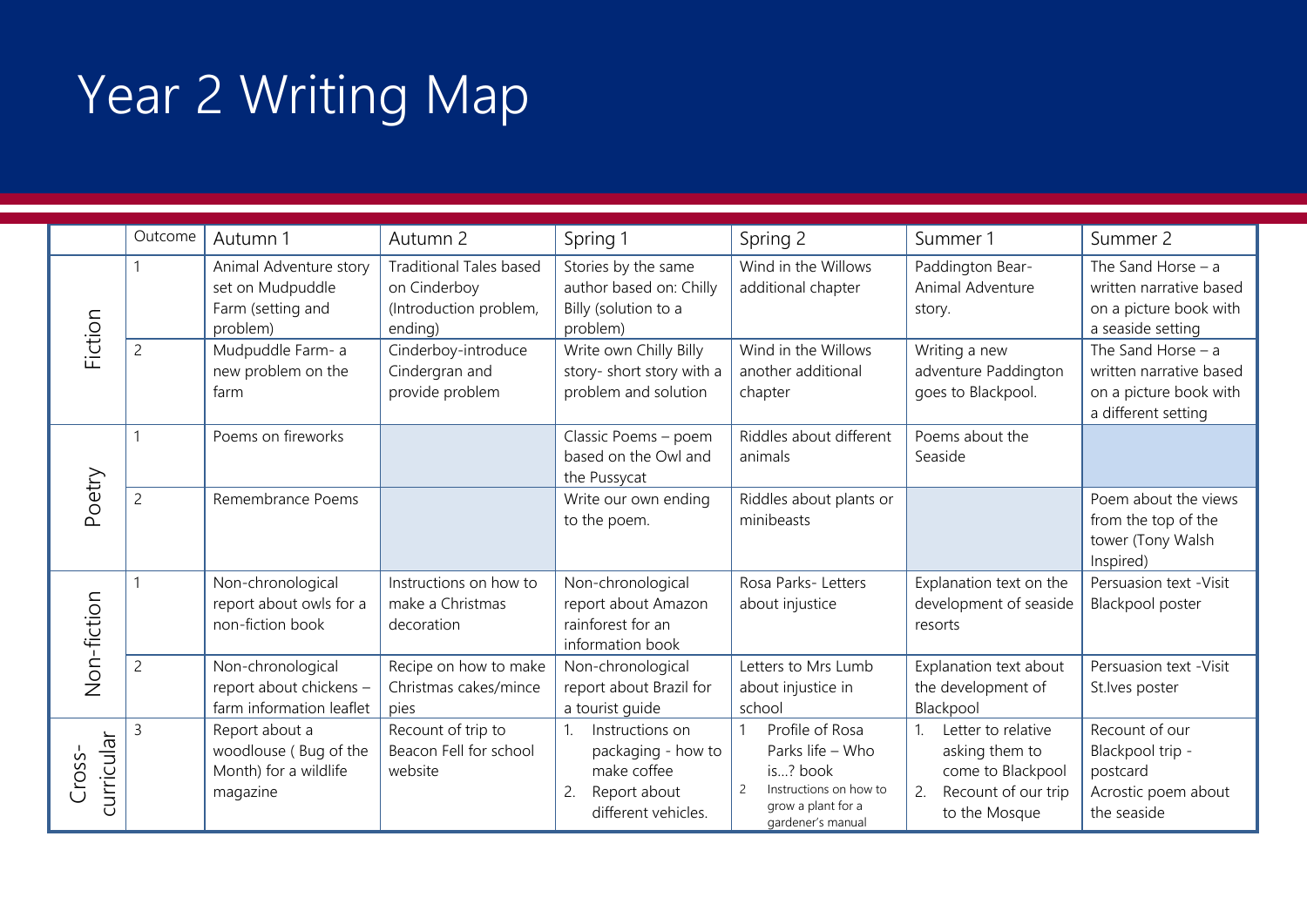# Year 2 Writing Map

|                      | Outcome        | Autumn 1                                                                     | Autumn 2                                                                            | Spring 1                                                                                                            | Spring 2                                                                                                                               | Summer 1                                                                                                                | Summer 2                                                                                         |
|----------------------|----------------|------------------------------------------------------------------------------|-------------------------------------------------------------------------------------|---------------------------------------------------------------------------------------------------------------------|----------------------------------------------------------------------------------------------------------------------------------------|-------------------------------------------------------------------------------------------------------------------------|--------------------------------------------------------------------------------------------------|
| Fiction              |                | Animal Adventure story<br>set on Mudpuddle<br>Farm (setting and<br>problem)  | <b>Traditional Tales based</b><br>on Cinderboy<br>(Introduction problem,<br>ending) | Stories by the same<br>author based on: Chilly<br>Billy (solution to a<br>problem)                                  | Wind in the Willows<br>additional chapter                                                                                              | Paddington Bear-<br>Animal Adventure<br>story.                                                                          | The Sand Horse $-$ a<br>written narrative based<br>on a picture book with<br>a seaside setting   |
|                      | $\overline{c}$ | Mudpuddle Farm- a<br>new problem on the<br>farm                              | Cinderboy-introduce<br>Cindergran and<br>provide problem                            | Write own Chilly Billy<br>story- short story with a<br>problem and solution                                         | Wind in the Willows<br>another additional<br>chapter                                                                                   | Writing a new<br>adventure Paddington<br>goes to Blackpool.                                                             | The Sand Horse $-$ a<br>written narrative based<br>on a picture book with<br>a different setting |
|                      |                | Poems on fireworks                                                           |                                                                                     | Classic Poems - poem<br>based on the Owl and<br>the Pussycat                                                        | Riddles about different<br>animals                                                                                                     | Poems about the<br>Seaside                                                                                              |                                                                                                  |
| Poetry               | $\overline{2}$ | Remembrance Poems                                                            |                                                                                     | Write our own ending<br>to the poem.                                                                                | Riddles about plants or<br>minibeasts                                                                                                  |                                                                                                                         | Poem about the views<br>from the top of the<br>tower (Tony Walsh<br>Inspired)                    |
| Non-fiction          |                | Non-chronological<br>report about owls for a<br>non-fiction book             | Instructions on how to<br>make a Christmas<br>decoration                            | Non-chronological<br>report about Amazon<br>rainforest for an<br>information book                                   | Rosa Parks- Letters<br>about injustice                                                                                                 | Explanation text on the<br>development of seaside<br>resorts                                                            | Persuasion text - Visit<br>Blackpool poster                                                      |
|                      | $\overline{2}$ | Non-chronological<br>report about chickens -<br>farm information leaflet     | Recipe on how to make<br>Christmas cakes/mince<br>pies                              | Non-chronological<br>report about Brazil for<br>a tourist guide                                                     | Letters to Mrs Lumb<br>about injustice in<br>school                                                                                    | Explanation text about<br>the development of<br>Blackpool                                                               | Persuasion text - Visit<br>St.lves poster                                                        |
| curricular<br>Cross- | 3              | Report about a<br>woodlouse (Bug of the<br>Month) for a wildlife<br>magazine | Recount of trip to<br>Beacon Fell for school<br>website                             | Instructions on<br>1 <sub>1</sub><br>packaging - how to<br>make coffee<br>Report about<br>2.<br>different vehicles. | Profile of Rosa<br>Parks life - Who<br>is? book<br>Instructions on how to<br>$\overline{c}$<br>grow a plant for a<br>gardener's manual | Letter to relative<br>$\mathbf{1}$<br>asking them to<br>come to Blackpool<br>Recount of our trip<br>2.<br>to the Mosque | Recount of our<br>Blackpool trip -<br>postcard<br>Acrostic poem about<br>the seaside             |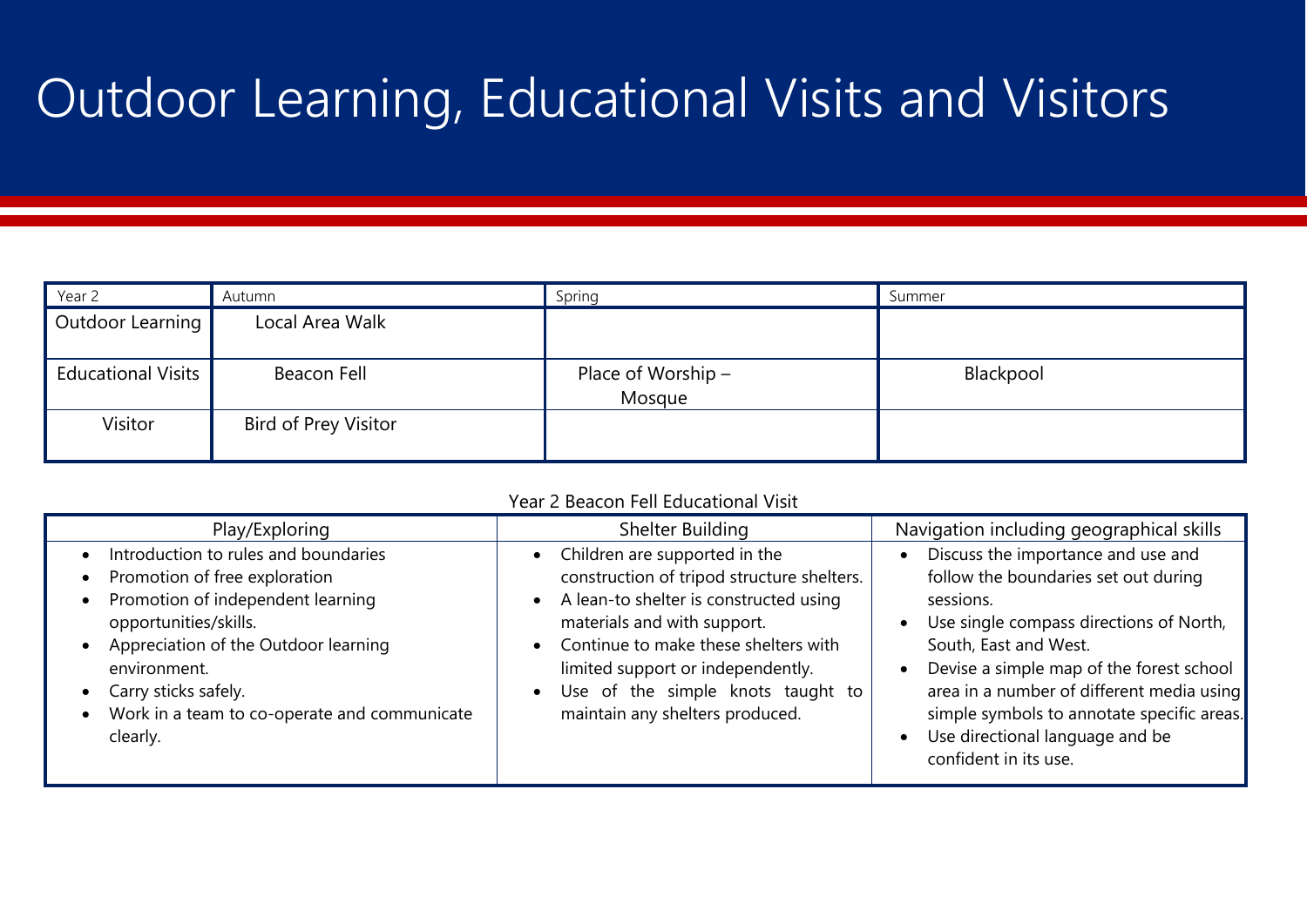# Outdoor Learning, Educational Visits and Visitors

| Year 2                    | Autumn                      | Spring                       | Summer    |
|---------------------------|-----------------------------|------------------------------|-----------|
| Outdoor Learning          | Local Area Walk             |                              |           |
| <b>Educational Visits</b> | Beacon Fell                 | Place of Worship -<br>Mosque | Blackpool |
| Visitor                   | <b>Bird of Prey Visitor</b> |                              |           |

| Year 2 Beacon Fell Educational Visit                                                                                                                                                                                                                                            |                                                                                                                                                                                                                                                                                                                                     |                                                                                                                                                                                                                                                                                                                                                                |  |  |  |
|---------------------------------------------------------------------------------------------------------------------------------------------------------------------------------------------------------------------------------------------------------------------------------|-------------------------------------------------------------------------------------------------------------------------------------------------------------------------------------------------------------------------------------------------------------------------------------------------------------------------------------|----------------------------------------------------------------------------------------------------------------------------------------------------------------------------------------------------------------------------------------------------------------------------------------------------------------------------------------------------------------|--|--|--|
| Play/Exploring                                                                                                                                                                                                                                                                  | Shelter Building                                                                                                                                                                                                                                                                                                                    | Navigation including geographical skills                                                                                                                                                                                                                                                                                                                       |  |  |  |
| Introduction to rules and boundaries<br>Promotion of free exploration<br>Promotion of independent learning<br>opportunities/skills.<br>Appreciation of the Outdoor learning<br>environment.<br>Carry sticks safely.<br>Work in a team to co-operate and communicate<br>clearly. | Children are supported in the<br>construction of tripod structure shelters.<br>A lean-to shelter is constructed using<br>$\bullet$<br>materials and with support.<br>Continue to make these shelters with<br>limited support or independently.<br>Use of the simple knots taught to<br>$\bullet$<br>maintain any shelters produced. | Discuss the importance and use and<br>follow the boundaries set out during<br>sessions.<br>Use single compass directions of North,<br>South, East and West.<br>Devise a simple map of the forest school<br>area in a number of different media using<br>simple symbols to annotate specific areas.<br>Use directional language and be<br>confident in its use. |  |  |  |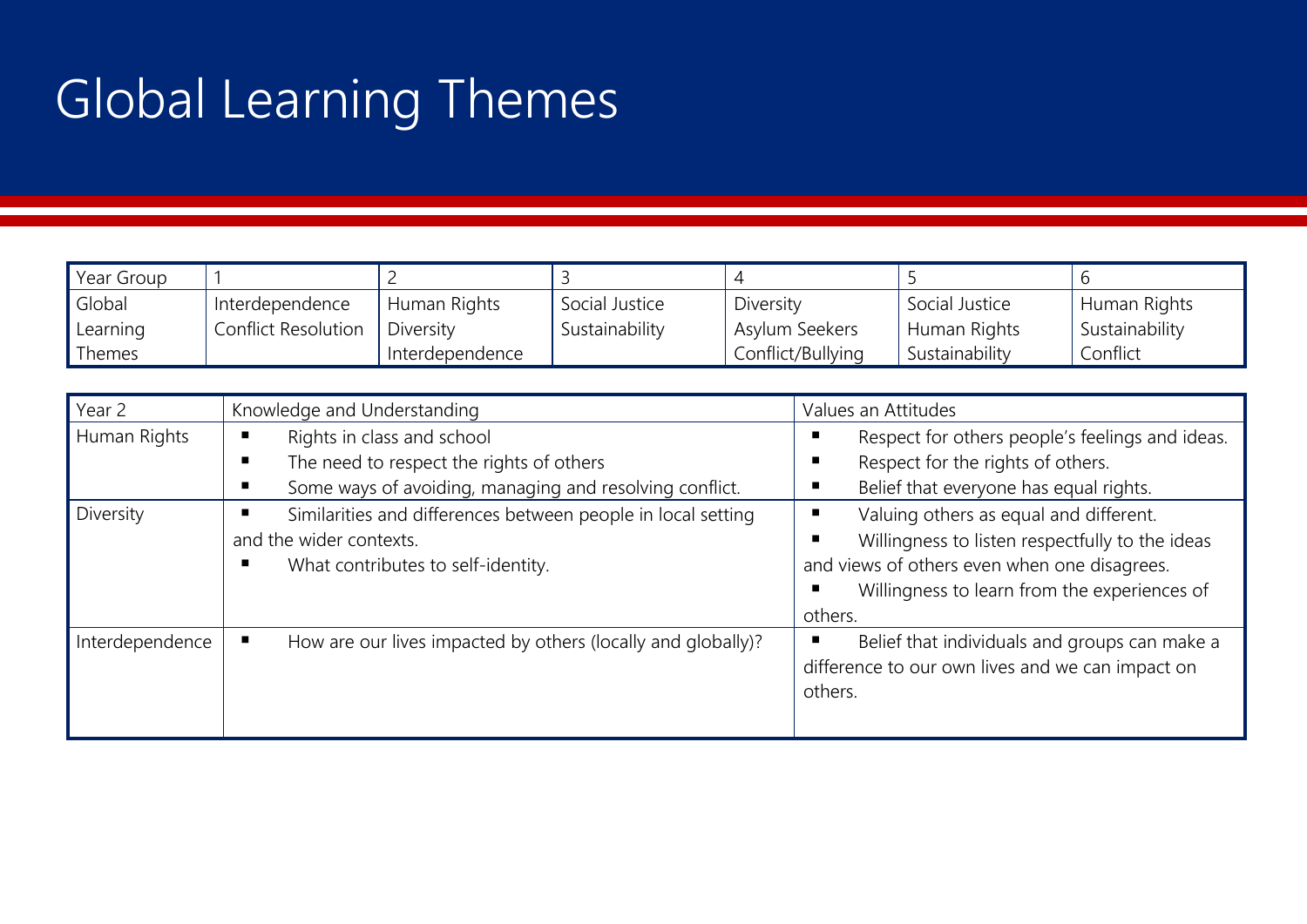# Global Learning Themes

| Year Group |                     |                 |                |                   |                |                |
|------------|---------------------|-----------------|----------------|-------------------|----------------|----------------|
| Global     | Interdependence     | Human Rights    | Social Justice | Diversity         | Social Justice | Human Rights   |
| Learning   | Conflict Resolution | Diversity       | Sustainability | Asylum Seekers    | Human Rights   | Sustainability |
| Themes     |                     | Interdependence |                | Conflict/Bullying | Sustainability | Confiict       |

| Year 2          | Knowledge and Understanding                                                                                                                 | Values an Attitudes                                                                                                                                                                                                 |
|-----------------|---------------------------------------------------------------------------------------------------------------------------------------------|---------------------------------------------------------------------------------------------------------------------------------------------------------------------------------------------------------------------|
| Human Rights    | Rights in class and school<br>п<br>The need to respect the rights of others<br>п<br>Some ways of avoiding, managing and resolving conflict. | Respect for others people's feelings and ideas.<br>п<br>Respect for the rights of others.<br>п<br>Belief that everyone has equal rights.<br>г                                                                       |
| Diversity       | Similarities and differences between people in local setting<br>and the wider contexts.<br>What contributes to self-identity.               | Valuing others as equal and different.<br>п<br>Willingness to listen respectfully to the ideas<br>г<br>and views of others even when one disagrees.<br>Willingness to learn from the experiences of<br>г<br>others. |
| Interdependence | How are our lives impacted by others (locally and globally)?                                                                                | Belief that individuals and groups can make a<br>п<br>difference to our own lives and we can impact on<br>others.                                                                                                   |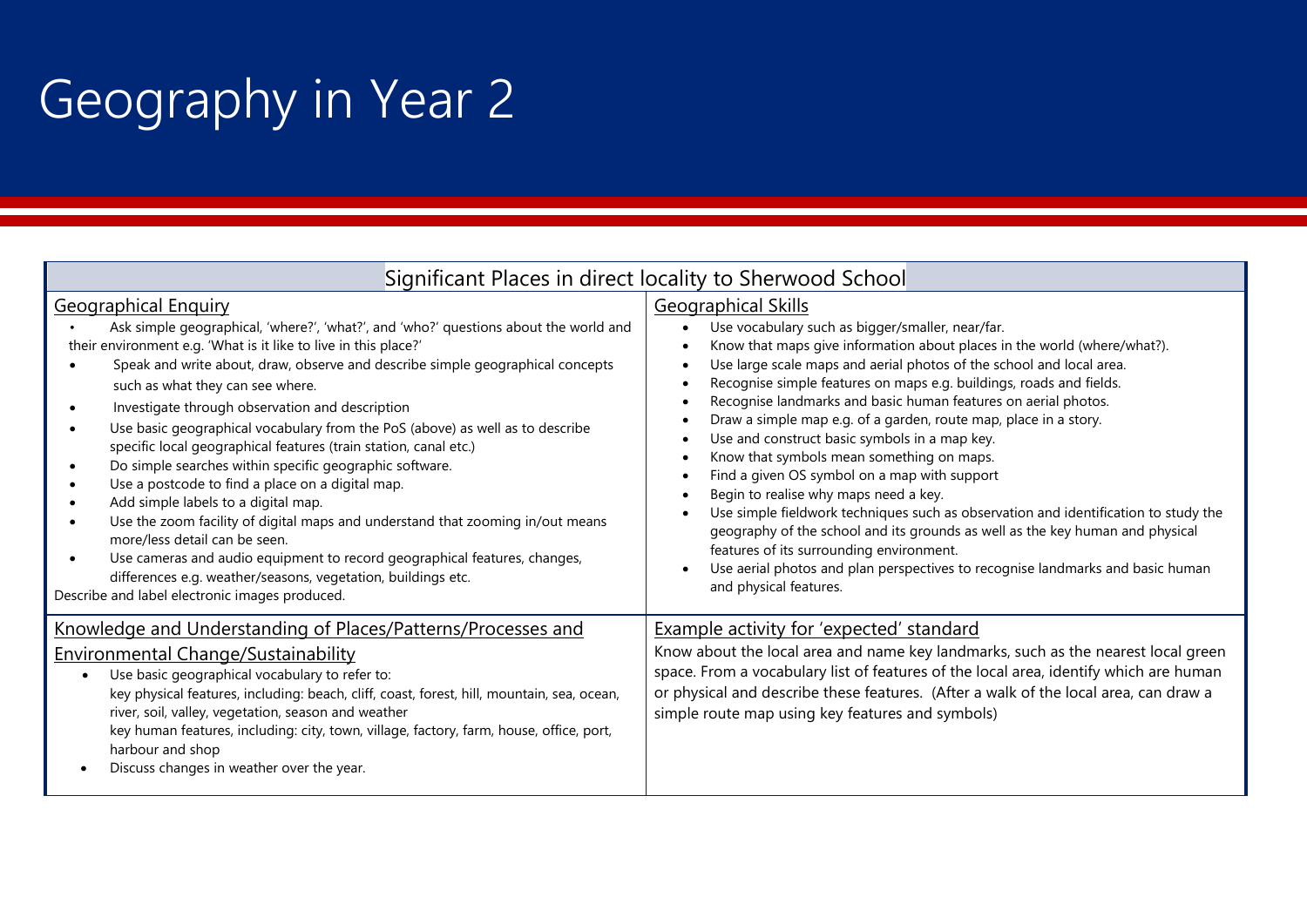# Geography in Year 2

|                                                                                                                                                                                                                                                                                                                                                                                                                                                                                                                                                                                                                                                                                                                                                                                                                                                                                                                                                                                              | Significant Places in direct locality to Sherwood School                                                                                                                                                                                                                                                                                                                                                                                                                                                                                                                                                                                                                                                                                                                                                                                                                                                                                                               |  |  |
|----------------------------------------------------------------------------------------------------------------------------------------------------------------------------------------------------------------------------------------------------------------------------------------------------------------------------------------------------------------------------------------------------------------------------------------------------------------------------------------------------------------------------------------------------------------------------------------------------------------------------------------------------------------------------------------------------------------------------------------------------------------------------------------------------------------------------------------------------------------------------------------------------------------------------------------------------------------------------------------------|------------------------------------------------------------------------------------------------------------------------------------------------------------------------------------------------------------------------------------------------------------------------------------------------------------------------------------------------------------------------------------------------------------------------------------------------------------------------------------------------------------------------------------------------------------------------------------------------------------------------------------------------------------------------------------------------------------------------------------------------------------------------------------------------------------------------------------------------------------------------------------------------------------------------------------------------------------------------|--|--|
| <b>Geographical Enquiry</b><br>Ask simple geographical, 'where?', 'what?', and 'who?' questions about the world and<br>their environment e.g. 'What is it like to live in this place?'<br>Speak and write about, draw, observe and describe simple geographical concepts<br>such as what they can see where.<br>Investigate through observation and description<br>Use basic geographical vocabulary from the PoS (above) as well as to describe<br>specific local geographical features (train station, canal etc.)<br>Do simple searches within specific geographic software.<br>Use a postcode to find a place on a digital map.<br>Add simple labels to a digital map.<br>Use the zoom facility of digital maps and understand that zooming in/out means<br>more/less detail can be seen.<br>Use cameras and audio equipment to record geographical features, changes,<br>differences e.g. weather/seasons, vegetation, buildings etc.<br>Describe and label electronic images produced. | <b>Geographical Skills</b><br>Use vocabulary such as bigger/smaller, near/far.<br>Know that maps give information about places in the world (where/what?).<br>Use large scale maps and aerial photos of the school and local area.<br>Recognise simple features on maps e.g. buildings, roads and fields.<br>Recognise landmarks and basic human features on aerial photos.<br>Draw a simple map e.g. of a garden, route map, place in a story.<br>Use and construct basic symbols in a map key.<br>Know that symbols mean something on maps.<br>Find a given OS symbol on a map with support<br>Begin to realise why maps need a key.<br>Use simple fieldwork techniques such as observation and identification to study the<br>geography of the school and its grounds as well as the key human and physical<br>features of its surrounding environment.<br>Use aerial photos and plan perspectives to recognise landmarks and basic human<br>and physical features. |  |  |
| Knowledge and Understanding of Places/Patterns/Processes and<br><b>Environmental Change/Sustainability</b><br>Use basic geographical vocabulary to refer to:<br>$\bullet$<br>key physical features, including: beach, cliff, coast, forest, hill, mountain, sea, ocean,<br>river, soil, valley, vegetation, season and weather<br>key human features, including: city, town, village, factory, farm, house, office, port,<br>harbour and shop<br>Discuss changes in weather over the year.                                                                                                                                                                                                                                                                                                                                                                                                                                                                                                   | <b>Example activity for 'expected' standard</b><br>Know about the local area and name key landmarks, such as the nearest local green<br>space. From a vocabulary list of features of the local area, identify which are human<br>or physical and describe these features. (After a walk of the local area, can draw a<br>simple route map using key features and symbols)                                                                                                                                                                                                                                                                                                                                                                                                                                                                                                                                                                                              |  |  |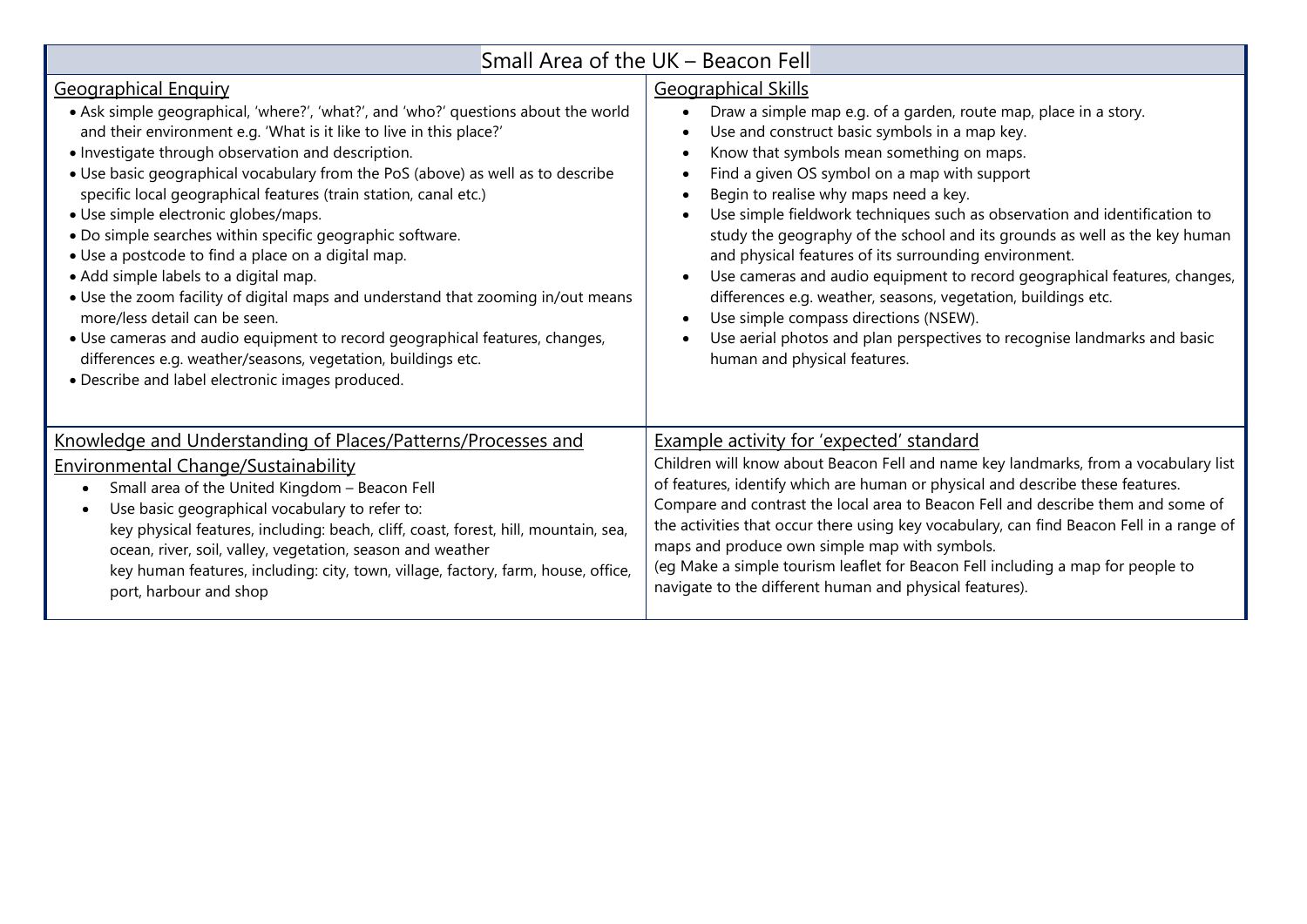| Small Area of the UK - Beacon Fell                                                                                                                                                                                                                                                                                                                                                                                                                                                                                                                                                                                                                                                                                                                                                                                                                                                                                                |                                                                                                                                                                                                                                                                                                                                                                                                                                                                                                                                                                                                                                                                                                                                                                                                              |  |  |  |
|-----------------------------------------------------------------------------------------------------------------------------------------------------------------------------------------------------------------------------------------------------------------------------------------------------------------------------------------------------------------------------------------------------------------------------------------------------------------------------------------------------------------------------------------------------------------------------------------------------------------------------------------------------------------------------------------------------------------------------------------------------------------------------------------------------------------------------------------------------------------------------------------------------------------------------------|--------------------------------------------------------------------------------------------------------------------------------------------------------------------------------------------------------------------------------------------------------------------------------------------------------------------------------------------------------------------------------------------------------------------------------------------------------------------------------------------------------------------------------------------------------------------------------------------------------------------------------------------------------------------------------------------------------------------------------------------------------------------------------------------------------------|--|--|--|
| <b>Geographical Enquiry</b><br>• Ask simple geographical, 'where?', 'what?', and 'who?' questions about the world<br>and their environment e.g. 'What is it like to live in this place?'<br>• Investigate through observation and description.<br>. Use basic geographical vocabulary from the PoS (above) as well as to describe<br>specific local geographical features (train station, canal etc.)<br>· Use simple electronic globes/maps.<br>• Do simple searches within specific geographic software.<br>• Use a postcode to find a place on a digital map.<br>• Add simple labels to a digital map.<br>• Use the zoom facility of digital maps and understand that zooming in/out means<br>more/less detail can be seen.<br>• Use cameras and audio equipment to record geographical features, changes,<br>differences e.g. weather/seasons, vegetation, buildings etc.<br>· Describe and label electronic images produced. | <b>Geographical Skills</b><br>Draw a simple map e.g. of a garden, route map, place in a story.<br>Use and construct basic symbols in a map key.<br>Know that symbols mean something on maps.<br>Find a given OS symbol on a map with support<br>Begin to realise why maps need a key.<br>Use simple fieldwork techniques such as observation and identification to<br>study the geography of the school and its grounds as well as the key human<br>and physical features of its surrounding environment.<br>Use cameras and audio equipment to record geographical features, changes,<br>differences e.g. weather, seasons, vegetation, buildings etc.<br>Use simple compass directions (NSEW).<br>Use aerial photos and plan perspectives to recognise landmarks and basic<br>human and physical features. |  |  |  |
| Knowledge and Understanding of Places/Patterns/Processes and<br><b>Environmental Change/Sustainability</b><br>Small area of the United Kingdom - Beacon Fell<br>Use basic geographical vocabulary to refer to:<br>key physical features, including: beach, cliff, coast, forest, hill, mountain, sea,<br>ocean, river, soil, valley, vegetation, season and weather<br>key human features, including: city, town, village, factory, farm, house, office,<br>port, harbour and shop                                                                                                                                                                                                                                                                                                                                                                                                                                                | <b>Example activity for 'expected' standard</b><br>Children will know about Beacon Fell and name key landmarks, from a vocabulary list<br>of features, identify which are human or physical and describe these features.<br>Compare and contrast the local area to Beacon Fell and describe them and some of<br>the activities that occur there using key vocabulary, can find Beacon Fell in a range of<br>maps and produce own simple map with symbols.<br>(eg Make a simple tourism leaflet for Beacon Fell including a map for people to<br>navigate to the different human and physical features).                                                                                                                                                                                                      |  |  |  |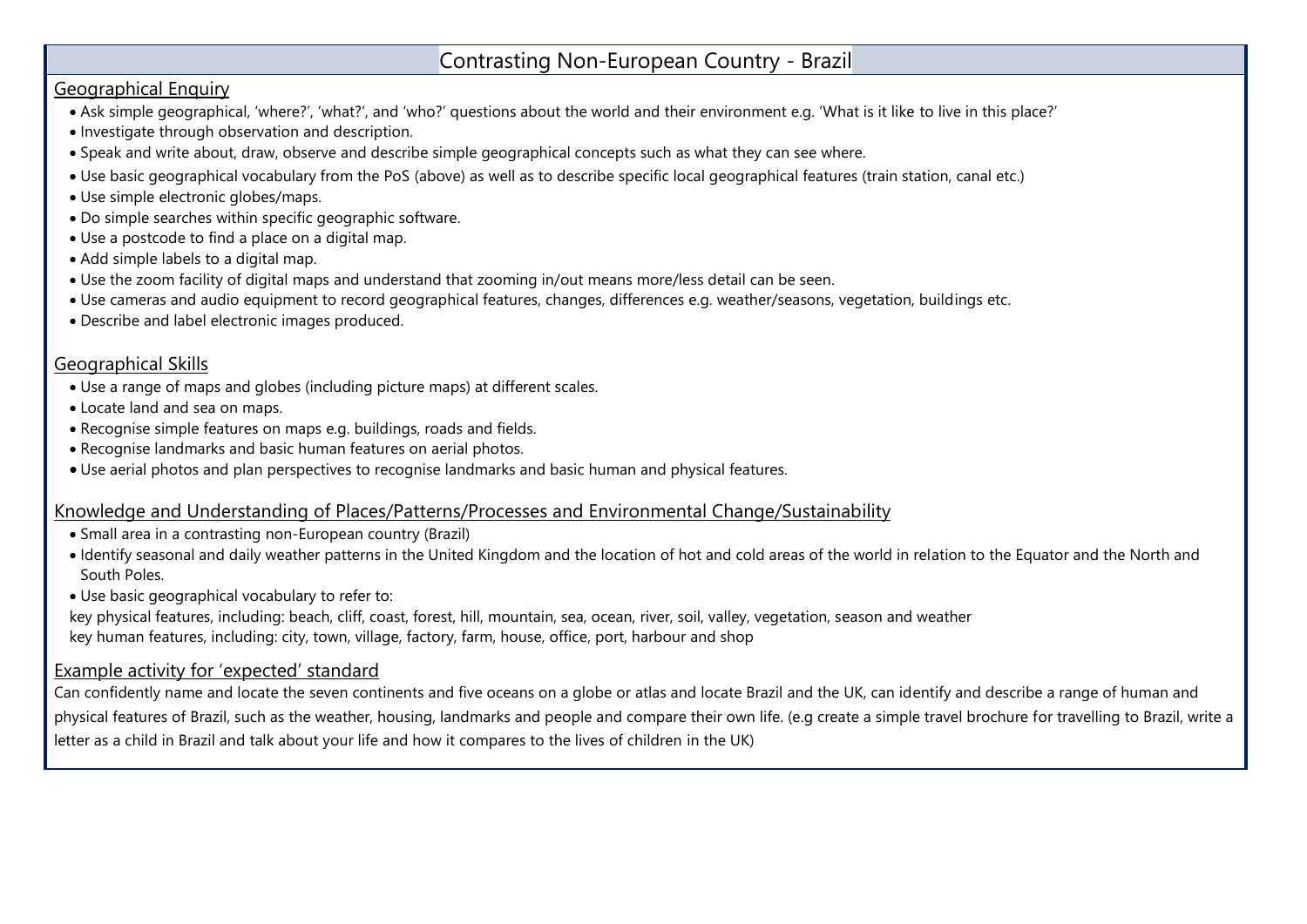#### Contrasting Non-European Country - Brazil

#### Geographical Enquiry

- Ask simple geographical, 'where?', 'what?', and 'who?' questions about the world and their environment e.g. 'What is it like to live in this place?'
- Investigate through observation and description.
- Speak and write about, draw, observe and describe simple geographical concepts such as what they can see where.
- Use basic geographical vocabulary from the PoS (above) as well as to describe specific local geographical features (train station, canal etc.)
- Use simple electronic globes/maps.
- Do simple searches within specific geographic software.
- Use a postcode to find a place on a digital map.
- Add simple labels to a digital map.
- Use the zoom facility of digital maps and understand that zooming in/out means more/less detail can be seen.
- Use cameras and audio equipment to record geographical features, changes, differences e.g. weather/seasons, vegetation, buildings etc.
- Describe and label electronic images produced.

#### Geographical Skills

- Use a range of maps and globes (including picture maps) at different scales.
- Locate land and sea on maps.
- Recognise simple features on maps e.g. buildings, roads and fields.
- Recognise landmarks and basic human features on aerial photos.
- Use aerial photos and plan perspectives to recognise landmarks and basic human and physical features.

#### Knowledge and Understanding of Places/Patterns/Processes and Environmental Change/Sustainability

- Small area in a contrasting non-European country (Brazil)
- Identify seasonal and daily weather patterns in the United Kingdom and the location of hot and cold areas of the world in relation to the Equator and the North and South Poles.
- Use basic geographical vocabulary to refer to:

key physical features, including: beach, cliff, coast, forest, hill, mountain, sea, ocean, river, soil, valley, vegetation, season and weather key human features, including: city, town, village, factory, farm, house, office, port, harbour and shop

#### Example activity for 'expected' standard

Can confidently name and locate the seven continents and five oceans on a globe or atlas and locate Brazil and the UK, can identify and describe a range of human and physical features of Brazil, such as the weather, housing, landmarks and people and compare their own life. (e.g create a simple travel brochure for travelling to Brazil, write a letter as a child in Brazil and talk about your life and how it compares to the lives of children in the UK)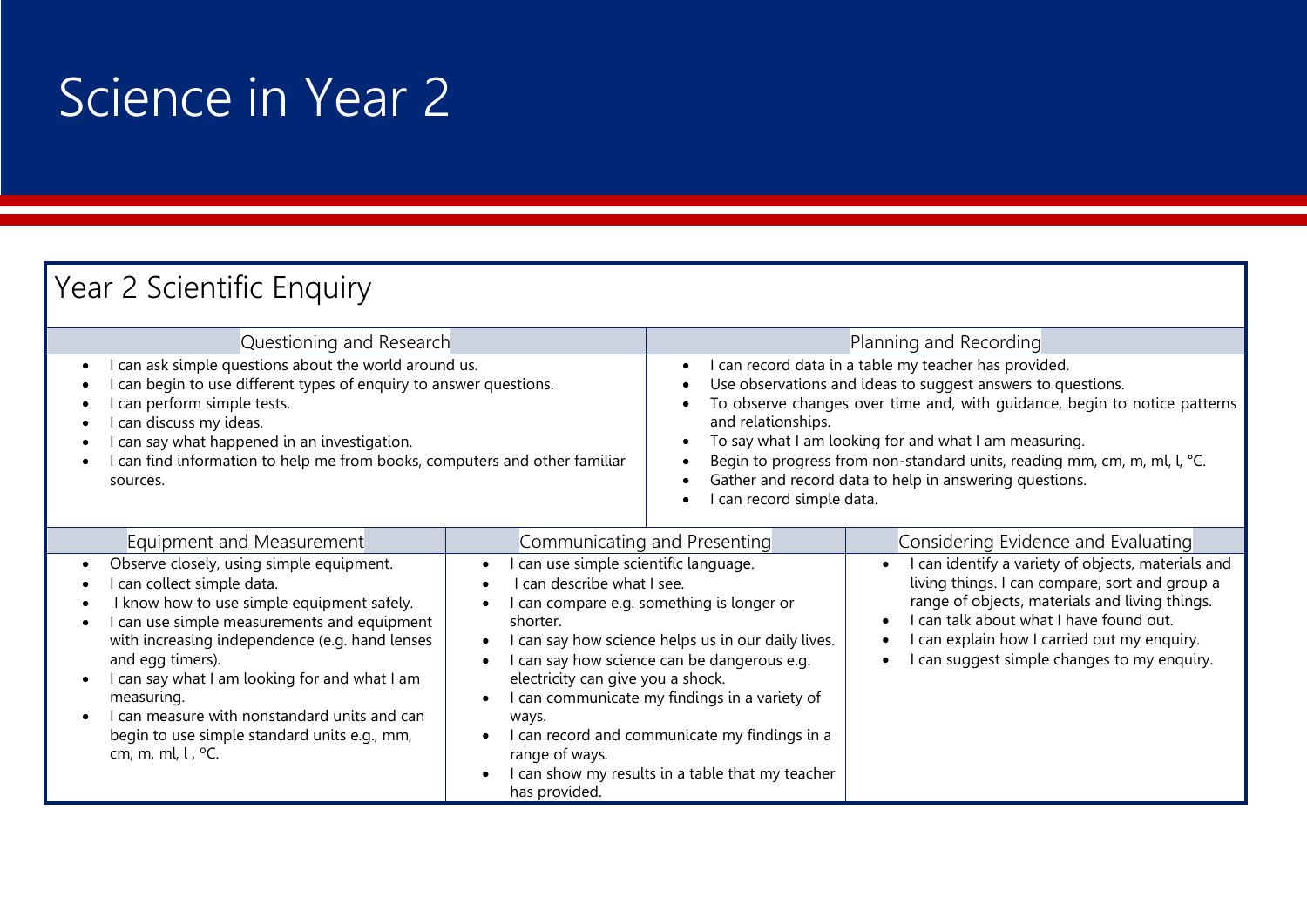# Science in Year 2

| Year 2 Scientific Enquiry                                                                                                                                                                                                                                                                                                                                                                                                              |                                                                                                                                                                                                     |                                                                                                                                                                                                                                                                                                                                                                                            |                                                                                                                                                                                                                                                                                                 |
|----------------------------------------------------------------------------------------------------------------------------------------------------------------------------------------------------------------------------------------------------------------------------------------------------------------------------------------------------------------------------------------------------------------------------------------|-----------------------------------------------------------------------------------------------------------------------------------------------------------------------------------------------------|--------------------------------------------------------------------------------------------------------------------------------------------------------------------------------------------------------------------------------------------------------------------------------------------------------------------------------------------------------------------------------------------|-------------------------------------------------------------------------------------------------------------------------------------------------------------------------------------------------------------------------------------------------------------------------------------------------|
| Questioning and Research<br>can ask simple questions about the world around us.                                                                                                                                                                                                                                                                                                                                                        |                                                                                                                                                                                                     |                                                                                                                                                                                                                                                                                                                                                                                            | Planning and Recording<br>I can record data in a table my teacher has provided.                                                                                                                                                                                                                 |
| can begin to use different types of enquiry to answer questions.<br>can perform simple tests.<br>can discuss my ideas.<br>can say what happened in an investigation.<br>can find information to help me from books, computers and other familiar<br>sources.                                                                                                                                                                           |                                                                                                                                                                                                     | Use observations and ideas to suggest answers to questions.<br>To observe changes over time and, with guidance, begin to notice patterns<br>and relationships.<br>To say what I am looking for and what I am measuring.<br>Begin to progress from non-standard units, reading mm, cm, m, ml, l, °C.<br>Gather and record data to help in answering questions.<br>I can record simple data. |                                                                                                                                                                                                                                                                                                 |
| Equipment and Measurement                                                                                                                                                                                                                                                                                                                                                                                                              |                                                                                                                                                                                                     | Communicating and Presenting                                                                                                                                                                                                                                                                                                                                                               | Considering Evidence and Evaluating                                                                                                                                                                                                                                                             |
| Observe closely, using simple equipment.<br>can collect simple data.<br>I know how to use simple equipment safely.<br>can use simple measurements and equipment<br>with increasing independence (e.g. hand lenses<br>and egg timers).<br>I can say what I am looking for and what I am<br>$\bullet$<br>measuring.<br>I can measure with nonstandard units and can<br>begin to use simple standard units e.g., mm,<br>cm, m, ml, l, °C. | can use simple scientific language.<br>$\bullet$<br>can describe what I see.<br>shorter.<br>$\bullet$<br>$\bullet$<br>electricity can give you a shock.<br>ways.<br>range of ways.<br>has provided. | can compare e.g. something is longer or<br>can say how science helps us in our daily lives.<br>can say how science can be dangerous e.g.<br>can communicate my findings in a variety of<br>I can record and communicate my findings in a<br>can show my results in a table that my teacher                                                                                                 | I can identify a variety of objects, materials and<br>living things. I can compare, sort and group a<br>range of objects, materials and living things.<br>I can talk about what I have found out.<br>I can explain how I carried out my enquiry.<br>I can suggest simple changes to my enquiry. |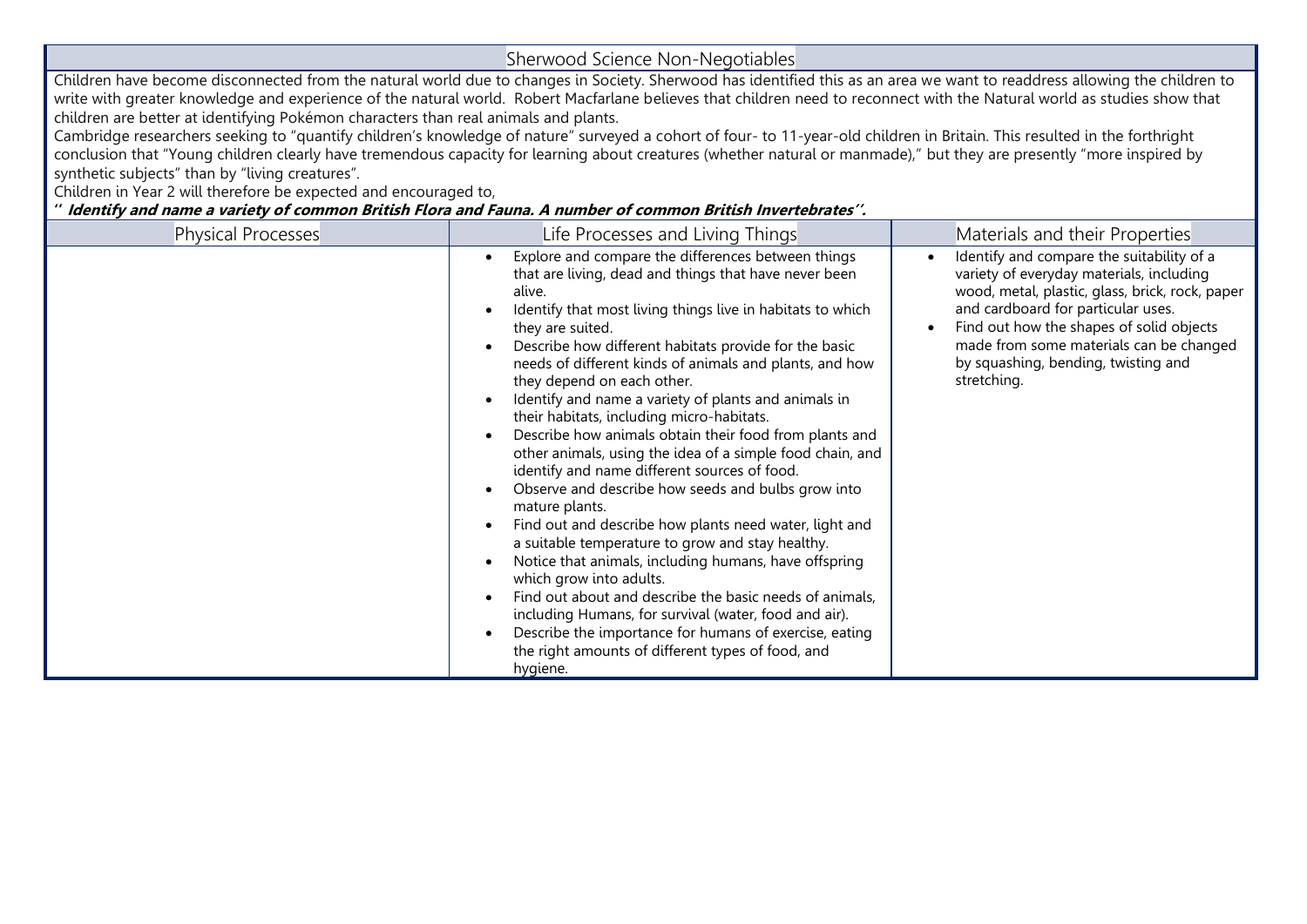| Sherwood Science Non-Negotiables                |                                                                                                                                                                                                                                                                                                                                                                                                                                                                                                                                                                                                                                                                                                                                                                                                                                                                                                                                                                                                                                                                                                                                                                |                                                                                                                                                                                                                                                                                                                             |  |  |  |  |  |
|-------------------------------------------------|----------------------------------------------------------------------------------------------------------------------------------------------------------------------------------------------------------------------------------------------------------------------------------------------------------------------------------------------------------------------------------------------------------------------------------------------------------------------------------------------------------------------------------------------------------------------------------------------------------------------------------------------------------------------------------------------------------------------------------------------------------------------------------------------------------------------------------------------------------------------------------------------------------------------------------------------------------------------------------------------------------------------------------------------------------------------------------------------------------------------------------------------------------------|-----------------------------------------------------------------------------------------------------------------------------------------------------------------------------------------------------------------------------------------------------------------------------------------------------------------------------|--|--|--|--|--|
| synthetic subjects" than by "living creatures". | Children have become disconnected from the natural world due to changes in Society. Sherwood has identified this as an area we want to readdress allowing the children to<br>write with greater knowledge and experience of the natural world. Robert Macfarlane believes that children need to reconnect with the Natural world as studies show that<br>children are better at identifying Pokémon characters than real animals and plants.<br>Cambridge researchers seeking to "quantify children's knowledge of nature" surveyed a cohort of four- to 11-year-old children in Britain. This resulted in the forthright<br>conclusion that "Young children clearly have tremendous capacity for learning about creatures (whether natural or manmade)," but they are presently "more inspired by<br>Children in Year 2 will therefore be expected and encouraged to,<br>" Identify and name a variety of common British Flora and Fauna. A number of common British Invertebrates".                                                                                                                                                                          |                                                                                                                                                                                                                                                                                                                             |  |  |  |  |  |
| <b>Physical Processes</b>                       | Life Processes and Living Things                                                                                                                                                                                                                                                                                                                                                                                                                                                                                                                                                                                                                                                                                                                                                                                                                                                                                                                                                                                                                                                                                                                               | Materials and their Properties                                                                                                                                                                                                                                                                                              |  |  |  |  |  |
|                                                 | Explore and compare the differences between things<br>that are living, dead and things that have never been<br>alive.<br>Identify that most living things live in habitats to which<br>they are suited.<br>Describe how different habitats provide for the basic<br>needs of different kinds of animals and plants, and how<br>they depend on each other.<br>Identify and name a variety of plants and animals in<br>their habitats, including micro-habitats.<br>Describe how animals obtain their food from plants and<br>other animals, using the idea of a simple food chain, and<br>identify and name different sources of food.<br>Observe and describe how seeds and bulbs grow into<br>mature plants.<br>Find out and describe how plants need water, light and<br>a suitable temperature to grow and stay healthy.<br>Notice that animals, including humans, have offspring<br>which grow into adults.<br>Find out about and describe the basic needs of animals,<br>including Humans, for survival (water, food and air).<br>Describe the importance for humans of exercise, eating<br>the right amounts of different types of food, and<br>hygiene. | Identify and compare the suitability of a<br>variety of everyday materials, including<br>wood, metal, plastic, glass, brick, rock, paper<br>and cardboard for particular uses.<br>Find out how the shapes of solid objects<br>made from some materials can be changed<br>by squashing, bending, twisting and<br>stretching. |  |  |  |  |  |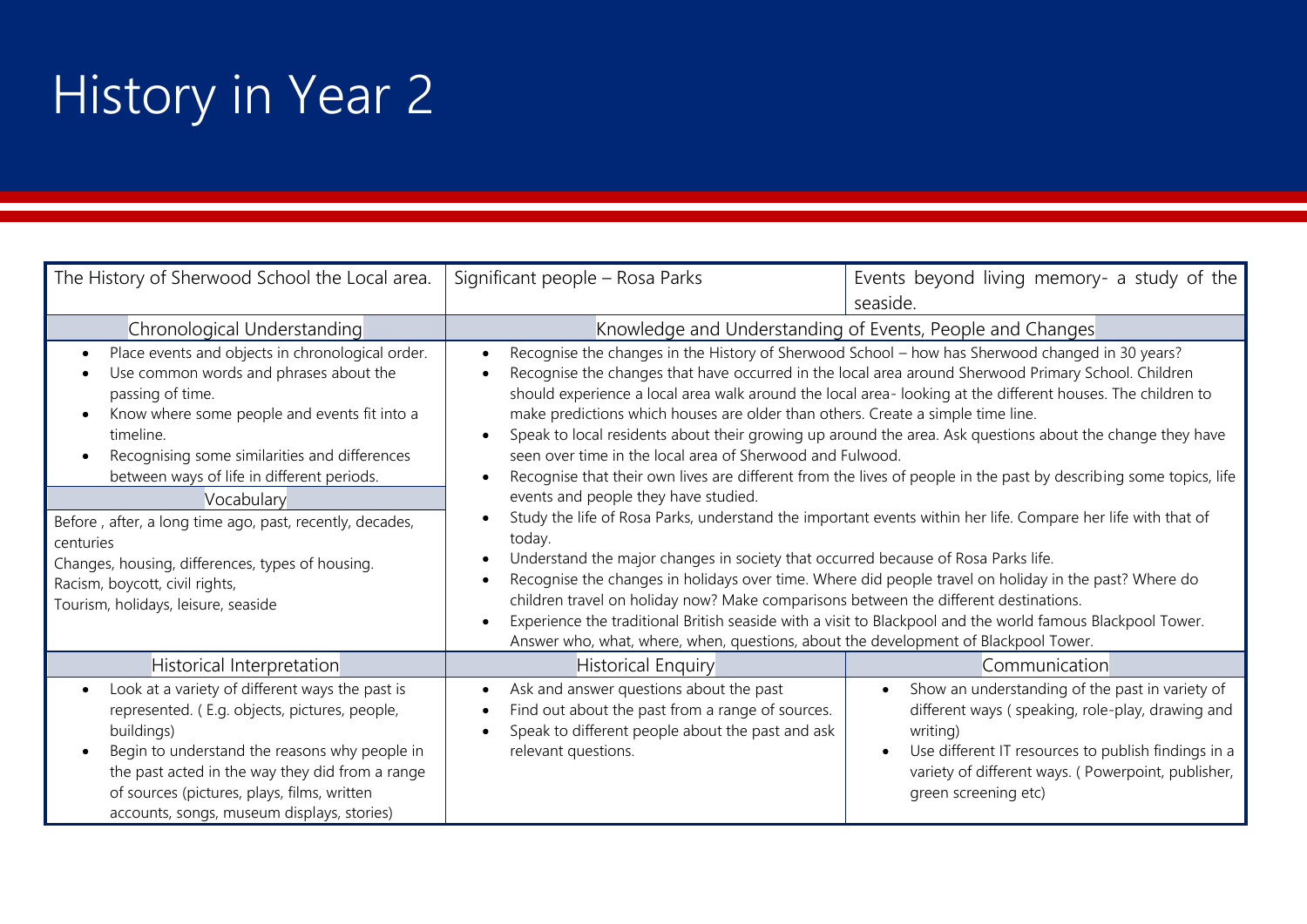# History in Year 2

| The History of Sherwood School the Local area.                                                                                                                                                                                                                                                                                                                                                                                                                                                 | Significant people - Rosa Parks                                                                                                                                                                                                                                                                                                                                                                                                                                                                                                                                                                                                                                                                                                                                                                                                                                                                                                                                                                                                                                                                                                                                                                                                                                                                        | Events beyond living memory- a study of the                                                                                                                                                                                                          |  |
|------------------------------------------------------------------------------------------------------------------------------------------------------------------------------------------------------------------------------------------------------------------------------------------------------------------------------------------------------------------------------------------------------------------------------------------------------------------------------------------------|--------------------------------------------------------------------------------------------------------------------------------------------------------------------------------------------------------------------------------------------------------------------------------------------------------------------------------------------------------------------------------------------------------------------------------------------------------------------------------------------------------------------------------------------------------------------------------------------------------------------------------------------------------------------------------------------------------------------------------------------------------------------------------------------------------------------------------------------------------------------------------------------------------------------------------------------------------------------------------------------------------------------------------------------------------------------------------------------------------------------------------------------------------------------------------------------------------------------------------------------------------------------------------------------------------|------------------------------------------------------------------------------------------------------------------------------------------------------------------------------------------------------------------------------------------------------|--|
|                                                                                                                                                                                                                                                                                                                                                                                                                                                                                                |                                                                                                                                                                                                                                                                                                                                                                                                                                                                                                                                                                                                                                                                                                                                                                                                                                                                                                                                                                                                                                                                                                                                                                                                                                                                                                        | seaside.                                                                                                                                                                                                                                             |  |
| Chronological Understanding                                                                                                                                                                                                                                                                                                                                                                                                                                                                    |                                                                                                                                                                                                                                                                                                                                                                                                                                                                                                                                                                                                                                                                                                                                                                                                                                                                                                                                                                                                                                                                                                                                                                                                                                                                                                        | Knowledge and Understanding of Events, People and Changes                                                                                                                                                                                            |  |
| Place events and objects in chronological order.<br>Use common words and phrases about the<br>passing of time.<br>Know where some people and events fit into a<br>timeline.<br>Recognising some similarities and differences<br>between ways of life in different periods.<br>Vocabulary<br>Before, after, a long time ago, past, recently, decades,<br>centuries<br>Changes, housing, differences, types of housing.<br>Racism, boycott, civil rights,<br>Tourism, holidays, leisure, seaside | Recognise the changes in the History of Sherwood School - how has Sherwood changed in 30 years?<br>Recognise the changes that have occurred in the local area around Sherwood Primary School. Children<br>$\bullet$<br>should experience a local area walk around the local area-looking at the different houses. The children to<br>make predictions which houses are older than others. Create a simple time line.<br>Speak to local residents about their growing up around the area. Ask questions about the change they have<br>seen over time in the local area of Sherwood and Fulwood.<br>Recognise that their own lives are different from the lives of people in the past by describing some topics, life<br>events and people they have studied.<br>Study the life of Rosa Parks, understand the important events within her life. Compare her life with that of<br>today.<br>Understand the major changes in society that occurred because of Rosa Parks life.<br>Recognise the changes in holidays over time. Where did people travel on holiday in the past? Where do<br>children travel on holiday now? Make comparisons between the different destinations.<br>Experience the traditional British seaside with a visit to Blackpool and the world famous Blackpool Tower.<br>$\bullet$ |                                                                                                                                                                                                                                                      |  |
| Historical Interpretation                                                                                                                                                                                                                                                                                                                                                                                                                                                                      | Answer who, what, where, when, questions, about the development of Blackpool Tower.<br><b>Historical Enquiry</b>                                                                                                                                                                                                                                                                                                                                                                                                                                                                                                                                                                                                                                                                                                                                                                                                                                                                                                                                                                                                                                                                                                                                                                                       | Communication                                                                                                                                                                                                                                        |  |
| Look at a variety of different ways the past is<br>represented. (E.g. objects, pictures, people,<br>buildings)<br>Begin to understand the reasons why people in<br>the past acted in the way they did from a range<br>of sources (pictures, plays, films, written<br>accounts, songs, museum displays, stories)                                                                                                                                                                                | Ask and answer questions about the past<br>$\bullet$<br>Find out about the past from a range of sources.<br>Speak to different people about the past and ask<br>relevant questions.                                                                                                                                                                                                                                                                                                                                                                                                                                                                                                                                                                                                                                                                                                                                                                                                                                                                                                                                                                                                                                                                                                                    | Show an understanding of the past in variety of<br>different ways (speaking, role-play, drawing and<br>writing)<br>Use different IT resources to publish findings in a<br>variety of different ways. (Powerpoint, publisher,<br>green screening etc) |  |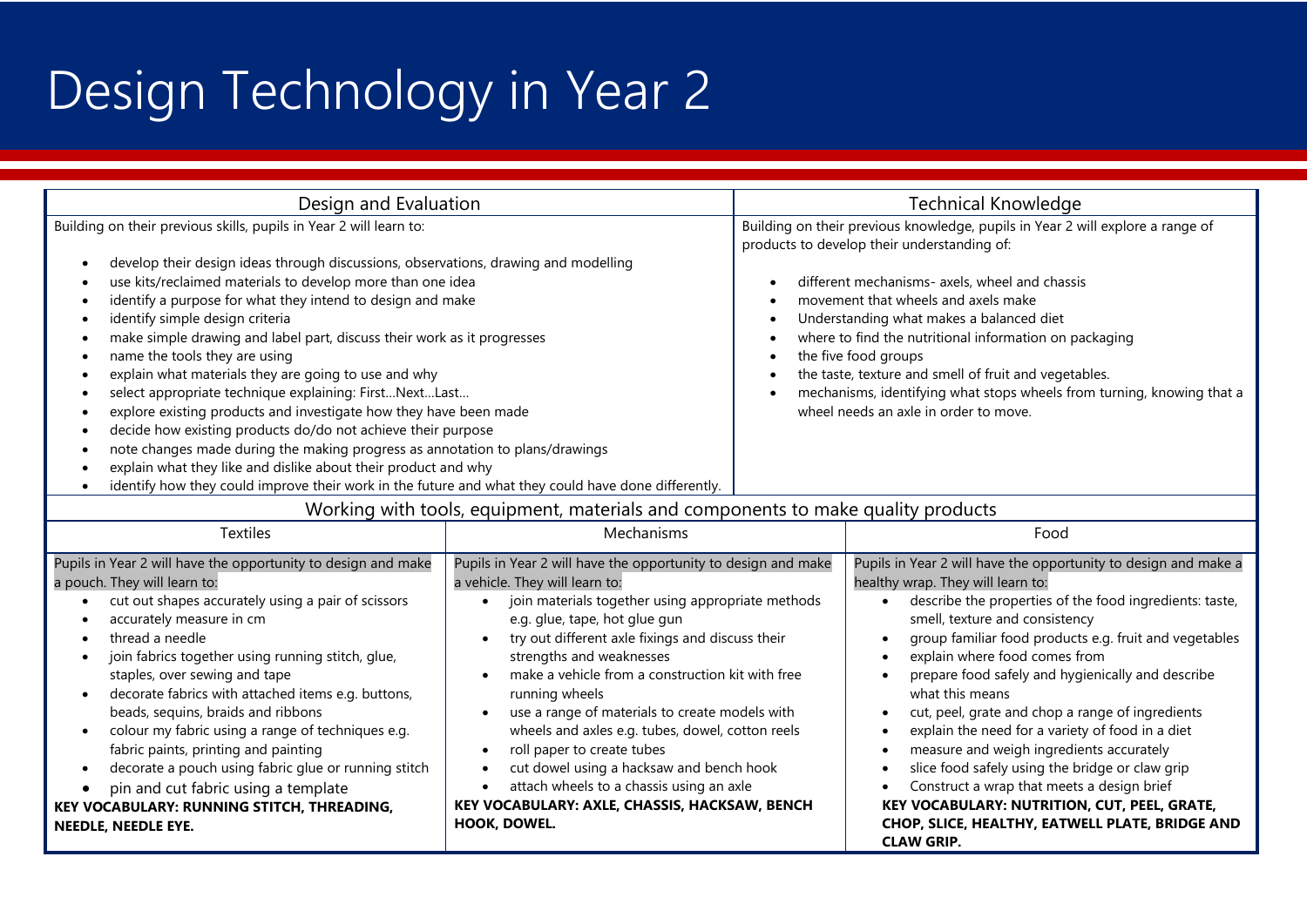# Design Technology in Year 2

| Design and Evaluation                                                                                                                                                                                                                                                                                                                                                                                                                                                                                                                                                                                                                                                                                                                                                                                                                                                                                                                                |                                                                                                                                                                                                                                                                                                                                                                                                                                                                                                                                                                                                                                                                    |  | <b>Technical Knowledge</b>                                                                                                                                                                                                                                                                                                                                                                                                                                                                                                                                                                                                                                                                                                                                                                                                      |  |  |
|------------------------------------------------------------------------------------------------------------------------------------------------------------------------------------------------------------------------------------------------------------------------------------------------------------------------------------------------------------------------------------------------------------------------------------------------------------------------------------------------------------------------------------------------------------------------------------------------------------------------------------------------------------------------------------------------------------------------------------------------------------------------------------------------------------------------------------------------------------------------------------------------------------------------------------------------------|--------------------------------------------------------------------------------------------------------------------------------------------------------------------------------------------------------------------------------------------------------------------------------------------------------------------------------------------------------------------------------------------------------------------------------------------------------------------------------------------------------------------------------------------------------------------------------------------------------------------------------------------------------------------|--|---------------------------------------------------------------------------------------------------------------------------------------------------------------------------------------------------------------------------------------------------------------------------------------------------------------------------------------------------------------------------------------------------------------------------------------------------------------------------------------------------------------------------------------------------------------------------------------------------------------------------------------------------------------------------------------------------------------------------------------------------------------------------------------------------------------------------------|--|--|
| Building on their previous skills, pupils in Year 2 will learn to:<br>develop their design ideas through discussions, observations, drawing and modelling<br>use kits/reclaimed materials to develop more than one idea<br>identify a purpose for what they intend to design and make<br>identify simple design criteria<br>make simple drawing and label part, discuss their work as it progresses<br>name the tools they are using<br>explain what materials they are going to use and why<br>select appropriate technique explaining: FirstNextLast<br>explore existing products and investigate how they have been made<br>decide how existing products do/do not achieve their purpose<br>note changes made during the making progress as annotation to plans/drawings<br>explain what they like and dislike about their product and why<br>identify how they could improve their work in the future and what they could have done differently. |                                                                                                                                                                                                                                                                                                                                                                                                                                                                                                                                                                                                                                                                    |  | Building on their previous knowledge, pupils in Year 2 will explore a range of<br>products to develop their understanding of:<br>different mechanisms- axels, wheel and chassis<br>movement that wheels and axels make<br>Understanding what makes a balanced diet<br>where to find the nutritional information on packaging<br>the five food groups<br>the taste, texture and smell of fruit and vegetables.<br>mechanisms, identifying what stops wheels from turning, knowing that a<br>wheel needs an axle in order to move.                                                                                                                                                                                                                                                                                                |  |  |
|                                                                                                                                                                                                                                                                                                                                                                                                                                                                                                                                                                                                                                                                                                                                                                                                                                                                                                                                                      | Working with tools, equipment, materials and components to make quality products                                                                                                                                                                                                                                                                                                                                                                                                                                                                                                                                                                                   |  |                                                                                                                                                                                                                                                                                                                                                                                                                                                                                                                                                                                                                                                                                                                                                                                                                                 |  |  |
| <b>Textiles</b>                                                                                                                                                                                                                                                                                                                                                                                                                                                                                                                                                                                                                                                                                                                                                                                                                                                                                                                                      | Mechanisms                                                                                                                                                                                                                                                                                                                                                                                                                                                                                                                                                                                                                                                         |  | Food                                                                                                                                                                                                                                                                                                                                                                                                                                                                                                                                                                                                                                                                                                                                                                                                                            |  |  |
| Pupils in Year 2 will have the opportunity to design and make<br>a pouch. They will learn to:<br>cut out shapes accurately using a pair of scissors<br>accurately measure in cm<br>thread a needle<br>join fabrics together using running stitch, glue,<br>staples, over sewing and tape<br>decorate fabrics with attached items e.g. buttons,<br>beads, sequins, braids and ribbons<br>colour my fabric using a range of techniques e.g.<br>fabric paints, printing and painting<br>decorate a pouch using fabric glue or running stitch<br>pin and cut fabric using a template<br>KEY VOCABULARY: RUNNING STITCH, THREADING,<br>NEEDLE, NEEDLE EYE.                                                                                                                                                                                                                                                                                                | Pupils in Year 2 will have the opportunity to design and make<br>a vehicle. They will learn to:<br>join materials together using appropriate methods<br>e.g. glue, tape, hot glue gun<br>try out different axle fixings and discuss their<br>strengths and weaknesses<br>make a vehicle from a construction kit with free<br>running wheels<br>use a range of materials to create models with<br>$\bullet$<br>wheels and axles e.g. tubes, dowel, cotton reels<br>roll paper to create tubes<br>cut dowel using a hacksaw and bench hook<br>attach wheels to a chassis using an axle<br>$\bullet$<br>KEY VOCABULARY: AXLE, CHASSIS, HACKSAW, BENCH<br>HOOK, DOWEL. |  | Pupils in Year 2 will have the opportunity to design and make a<br>healthy wrap. They will learn to:<br>describe the properties of the food ingredients: taste,<br>smell, texture and consistency<br>group familiar food products e.g. fruit and vegetables<br>explain where food comes from<br>$\bullet$<br>prepare food safely and hygienically and describe<br>what this means<br>cut, peel, grate and chop a range of ingredients<br>$\bullet$<br>explain the need for a variety of food in a diet<br>$\bullet$<br>measure and weigh ingredients accurately<br>$\bullet$<br>slice food safely using the bridge or claw grip<br>$\bullet$<br>Construct a wrap that meets a design brief<br>$\bullet$<br>KEY VOCABULARY: NUTRITION, CUT, PEEL, GRATE,<br>CHOP, SLICE, HEALTHY, EATWELL PLATE, BRIDGE AND<br><b>CLAW GRIP.</b> |  |  |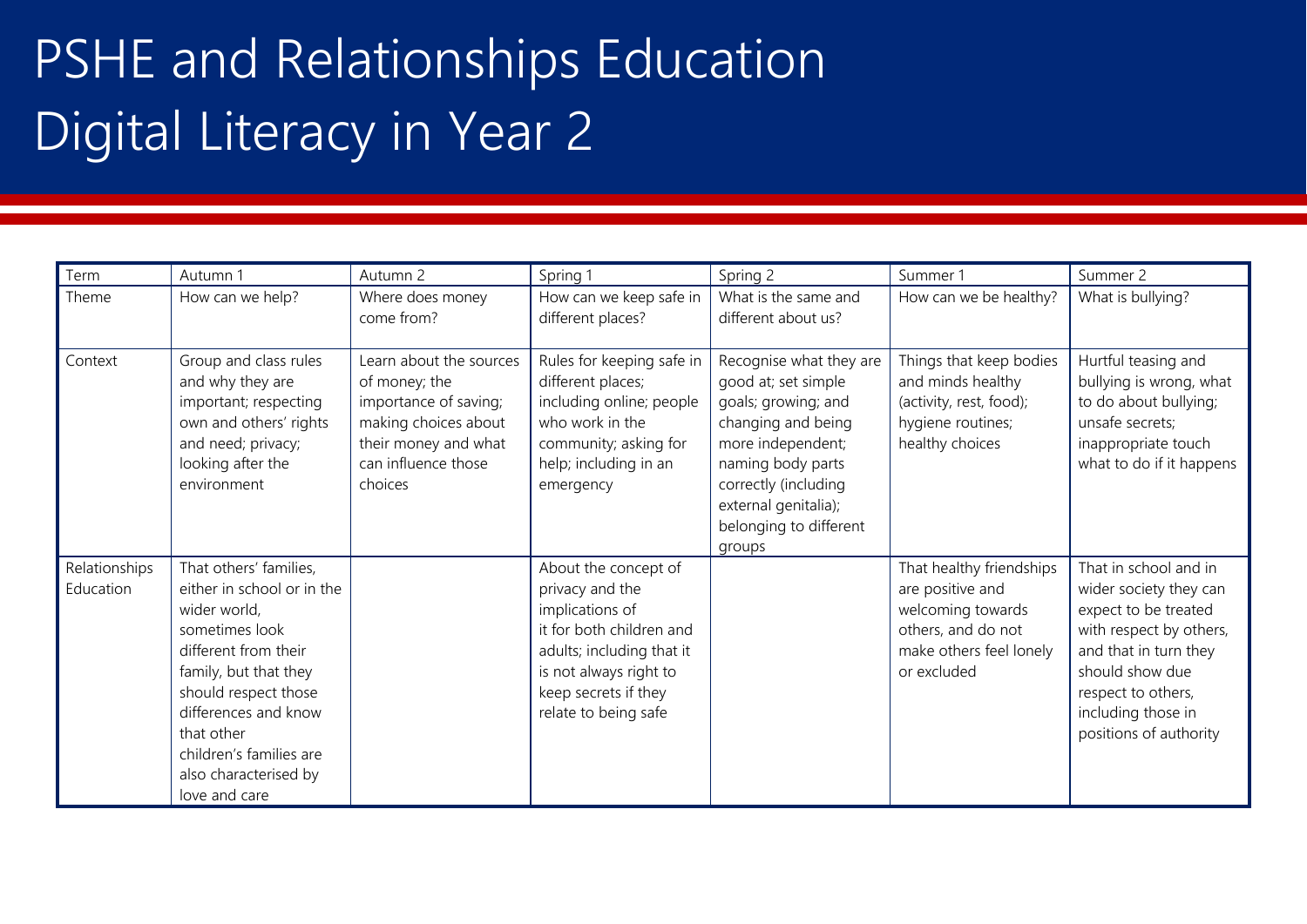# PSHE and Relationships Education Digital Literacy in Year 2

| Term                       | Autumn 1                                                                                                                                                                                                                                                                   | Autumn 2                                                                                                                                            | Spring 1                                                                                                                                                                                      | Spring 2                                                                                                                                                                                                                  | Summer 1                                                                                                                          | Summer 2                                                                                                                                                                                                             |
|----------------------------|----------------------------------------------------------------------------------------------------------------------------------------------------------------------------------------------------------------------------------------------------------------------------|-----------------------------------------------------------------------------------------------------------------------------------------------------|-----------------------------------------------------------------------------------------------------------------------------------------------------------------------------------------------|---------------------------------------------------------------------------------------------------------------------------------------------------------------------------------------------------------------------------|-----------------------------------------------------------------------------------------------------------------------------------|----------------------------------------------------------------------------------------------------------------------------------------------------------------------------------------------------------------------|
| Theme                      | How can we help?                                                                                                                                                                                                                                                           | Where does money<br>come from?                                                                                                                      | How can we keep safe in<br>different places?                                                                                                                                                  | What is the same and<br>different about us?                                                                                                                                                                               | How can we be healthy?                                                                                                            | What is bullying?                                                                                                                                                                                                    |
| Context                    | Group and class rules<br>and why they are<br>important; respecting<br>own and others' rights<br>and need; privacy;<br>looking after the<br>environment                                                                                                                     | Learn about the sources<br>of money; the<br>importance of saving;<br>making choices about<br>their money and what<br>can influence those<br>choices | Rules for keeping safe in<br>different places;<br>including online; people<br>who work in the<br>community; asking for<br>help; including in an<br>emergency                                  | Recognise what they are<br>good at; set simple<br>goals; growing; and<br>changing and being<br>more independent;<br>naming body parts<br>correctly (including<br>external genitalia);<br>belonging to different<br>groups | Things that keep bodies<br>and minds healthy<br>(activity, rest, food);<br>hygiene routines;<br>healthy choices                   | Hurtful teasing and<br>bullying is wrong, what<br>to do about bullying;<br>unsafe secrets;<br>inappropriate touch<br>what to do if it happens                                                                        |
| Relationships<br>Education | That others' families,<br>either in school or in the<br>wider world,<br>sometimes look<br>different from their<br>family, but that they<br>should respect those<br>differences and know<br>that other<br>children's families are<br>also characterised by<br>love and care |                                                                                                                                                     | About the concept of<br>privacy and the<br>implications of<br>it for both children and<br>adults; including that it<br>is not always right to<br>keep secrets if they<br>relate to being safe |                                                                                                                                                                                                                           | That healthy friendships<br>are positive and<br>welcoming towards<br>others, and do not<br>make others feel lonely<br>or excluded | That in school and in<br>wider society they can<br>expect to be treated<br>with respect by others,<br>and that in turn they<br>should show due<br>respect to others,<br>including those in<br>positions of authority |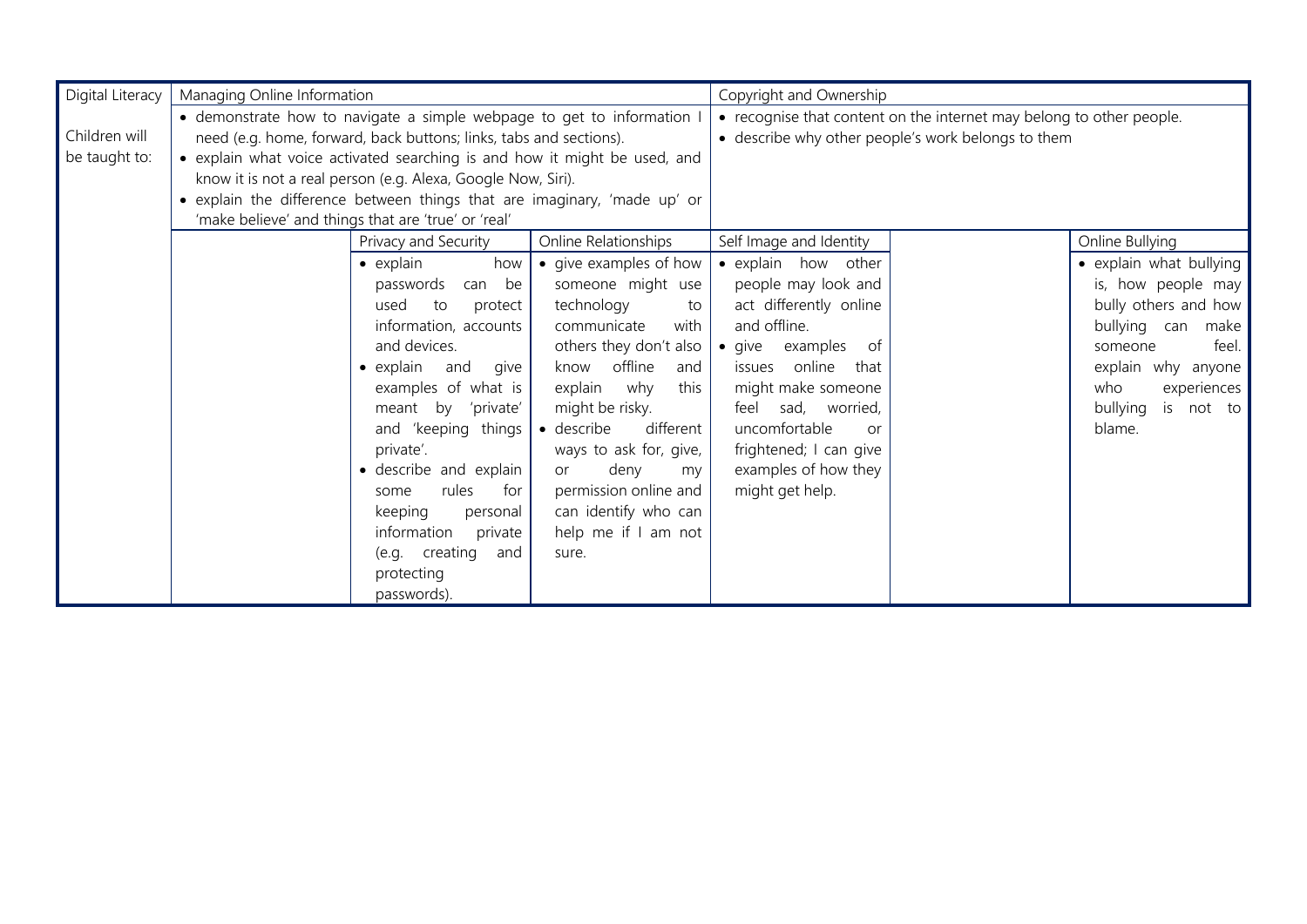| Digital Literacy | Managing Online Information                                               |                                  |                         | Copyright and Ownership                                              |                                                    |                         |
|------------------|---------------------------------------------------------------------------|----------------------------------|-------------------------|----------------------------------------------------------------------|----------------------------------------------------|-------------------------|
|                  | · demonstrate how to navigate a simple webpage to get to information I    |                                  |                         | • recognise that content on the internet may belong to other people. |                                                    |                         |
| Children will    | need (e.g. home, forward, back buttons; links, tabs and sections).        |                                  |                         |                                                                      | · describe why other people's work belongs to them |                         |
| be taught to:    | • explain what voice activated searching is and how it might be used, and |                                  |                         |                                                                      |                                                    |                         |
|                  | know it is not a real person (e.g. Alexa, Google Now, Siri).              |                                  |                         |                                                                      |                                                    |                         |
|                  | • explain the difference between things that are imaginary, 'made up' or  |                                  |                         |                                                                      |                                                    |                         |
|                  | 'make believe' and things that are 'true' or 'real'                       |                                  |                         |                                                                      |                                                    |                         |
|                  |                                                                           | Privacy and Security             | Online Relationships    | Self Image and Identity                                              |                                                    | Online Bullying         |
|                  | $\bullet$ explain                                                         | how                              | • give examples of how  | · explain how other                                                  |                                                    | • explain what bullying |
|                  | passwords                                                                 | can be                           | someone might use       | people may look and                                                  |                                                    | is, how people may      |
|                  | used                                                                      | to<br>protect                    | technology<br>to        | act differently online                                               |                                                    | bully others and how    |
|                  |                                                                           | information, accounts            | communicate<br>with     | and offline.                                                         |                                                    | bullying can<br>make    |
|                  | and devices.                                                              |                                  | others they don't also  | • give examples of                                                   |                                                    | feel.<br>someone        |
|                  |                                                                           | $\bullet$ explain<br>and<br>give |                         | issues online<br>that                                                |                                                    | explain why anyone      |
|                  | examples of what is<br>meant by 'private'                                 |                                  | explain why<br>this     | might make someone                                                   |                                                    | who<br>experiences      |
|                  |                                                                           |                                  | might be risky.         | sad, worried,<br>feel                                                |                                                    | bullying<br>is not to   |
|                  |                                                                           | and 'keeping things              | · describe<br>different | uncomfortable<br>$\Omega$ r                                          |                                                    | blame.                  |
|                  | private'.                                                                 |                                  | ways to ask for, give,  | frightened; I can give                                               |                                                    |                         |
|                  |                                                                           | · describe and explain           | deny<br>or<br>my        | examples of how they                                                 |                                                    |                         |
|                  | some                                                                      | rules<br>for                     | permission online and   | might get help.                                                      |                                                    |                         |
|                  | keeping<br>personal<br>information<br>private                             |                                  | can identify who can    |                                                                      |                                                    |                         |
|                  |                                                                           |                                  | help me if I am not     |                                                                      |                                                    |                         |
|                  | (e.g. creating<br>and<br>sure.                                            |                                  |                         |                                                                      |                                                    |                         |
|                  | protecting                                                                |                                  |                         |                                                                      |                                                    |                         |
|                  | passwords).                                                               |                                  |                         |                                                                      |                                                    |                         |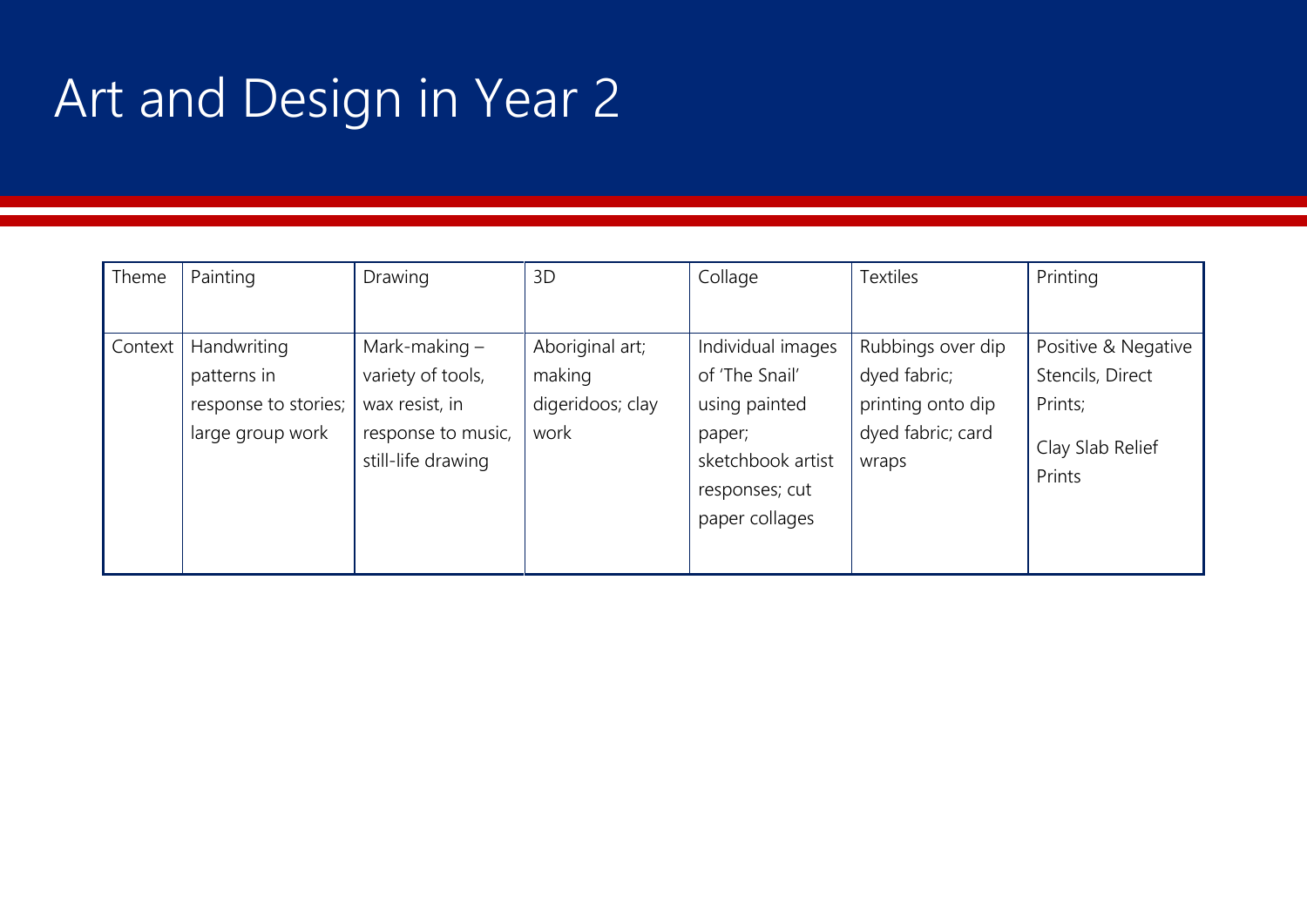# Art and Design in Year 2

| Theme   | Painting             | Drawing            | 3D               | Collage           | <b>Textiles</b>   | Printing                   |
|---------|----------------------|--------------------|------------------|-------------------|-------------------|----------------------------|
|         |                      |                    |                  |                   |                   |                            |
| Context | Handwriting          | Mark-making $-$    | Aboriginal art;  | Individual images | Rubbings over dip | Positive & Negative        |
|         | patterns in          | variety of tools,  | making           | of 'The Snail'    | dyed fabric;      | Stencils, Direct           |
|         | response to stories; | wax resist, in     | digeridoos; clay | using painted     | printing onto dip | Prints;                    |
|         | large group work     | response to music, | work             | paper;            | dyed fabric; card |                            |
|         |                      | still-life drawing |                  | sketchbook artist | wraps             | Clay Slab Relief<br>Prints |
|         |                      |                    |                  | responses; cut    |                   |                            |
|         |                      |                    |                  | paper collages    |                   |                            |
|         |                      |                    |                  |                   |                   |                            |
|         |                      |                    |                  |                   |                   |                            |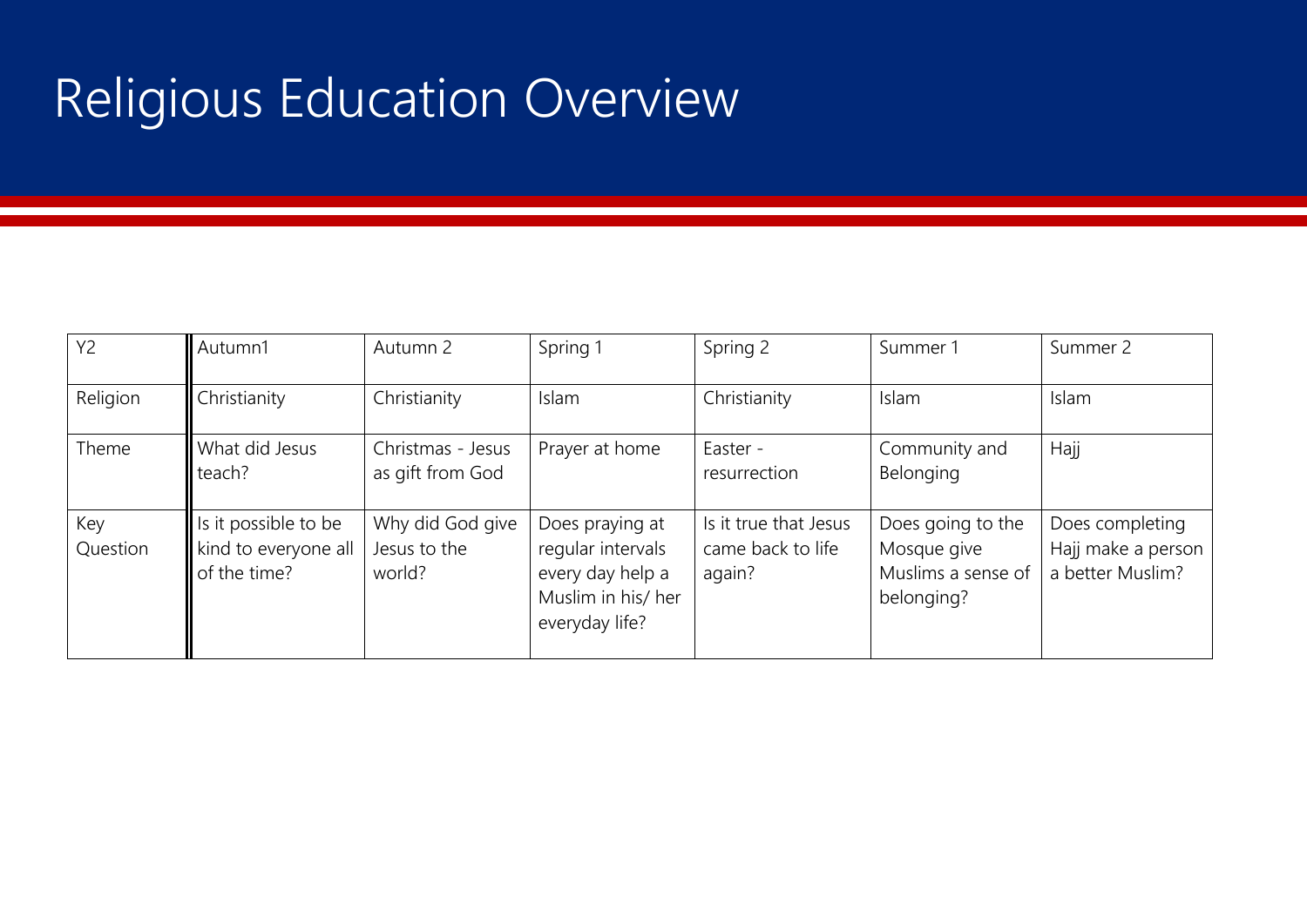### Religious Education Overview

| <b>Y2</b>       | Autumn1                                                      | Autumn 2                                   | Spring 1                                                                                         | Spring 2                                             | Summer 1                                                             | Summer 2                                                  |
|-----------------|--------------------------------------------------------------|--------------------------------------------|--------------------------------------------------------------------------------------------------|------------------------------------------------------|----------------------------------------------------------------------|-----------------------------------------------------------|
| Religion        | Christianity                                                 | Christianity                               | Islam                                                                                            | Christianity                                         | Islam                                                                | Islam                                                     |
| Theme           | What did Jesus<br>teach?                                     | Christmas - Jesus<br>as gift from God      | Prayer at home                                                                                   | Easter -<br>resurrection                             | Community and<br>Belonging                                           | Hajj                                                      |
| Key<br>Question | Is it possible to be<br>kind to everyone all<br>of the time? | Why did God give<br>Jesus to the<br>world? | Does praying at<br>regular intervals<br>every day help a<br>Muslim in his/ her<br>everyday life? | Is it true that Jesus<br>came back to life<br>again? | Does going to the<br>Mosque give<br>Muslims a sense of<br>belonging? | Does completing<br>Hajj make a person<br>a better Muslim? |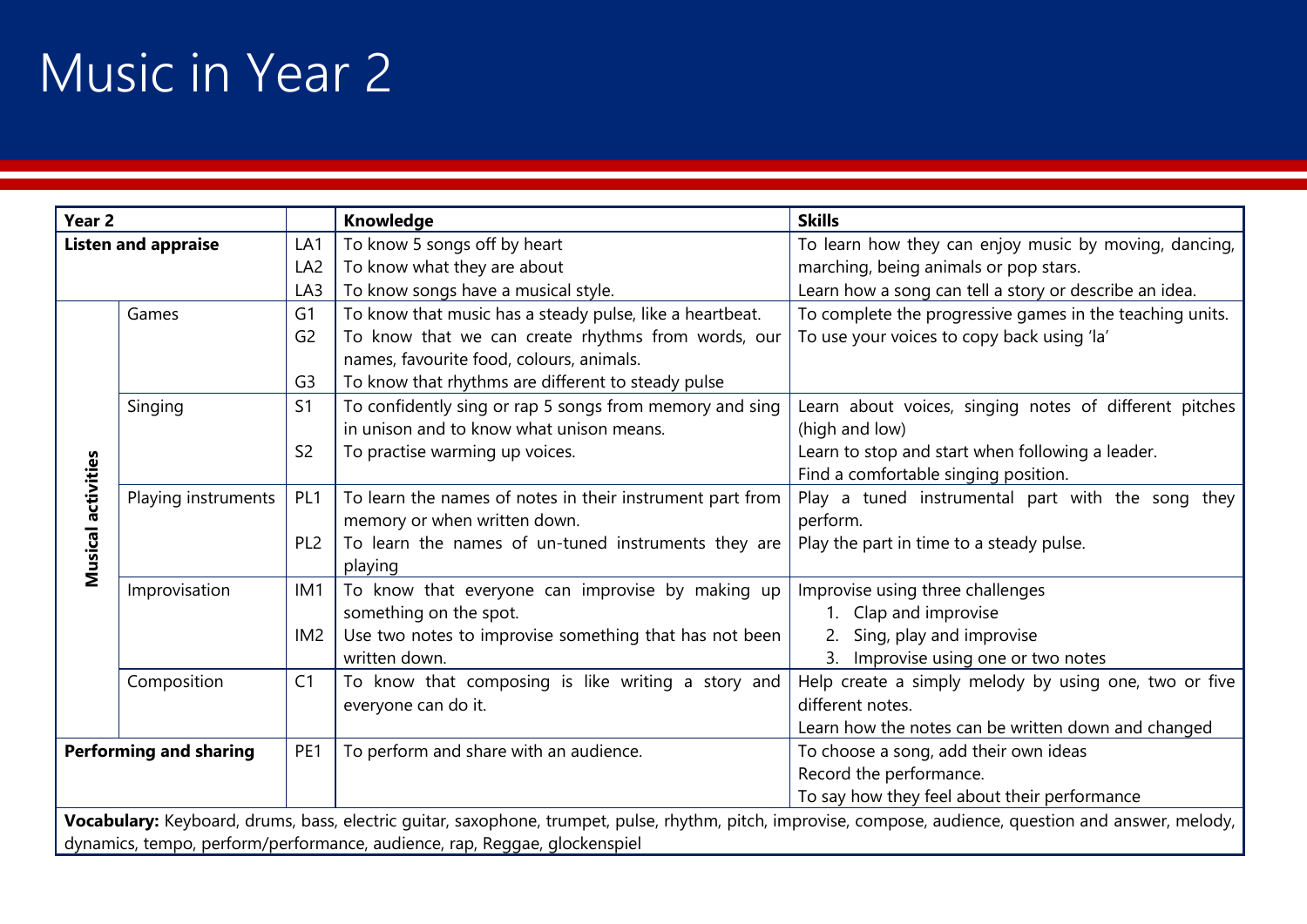### Music in Year 2

| Year <sub>2</sub>             |                                                                                                                                                          |                 | Knowledge                                                                 | <b>Skills</b>                                            |  |  |
|-------------------------------|----------------------------------------------------------------------------------------------------------------------------------------------------------|-----------------|---------------------------------------------------------------------------|----------------------------------------------------------|--|--|
|                               | <b>Listen and appraise</b>                                                                                                                               | LA1             | To know 5 songs off by heart                                              | To learn how they can enjoy music by moving, dancing,    |  |  |
|                               |                                                                                                                                                          | LA <sub>2</sub> | To know what they are about                                               | marching, being animals or pop stars.                    |  |  |
|                               |                                                                                                                                                          | LA3             | To know songs have a musical style.                                       | Learn how a song can tell a story or describe an idea.   |  |  |
|                               | Games                                                                                                                                                    | G <sub>1</sub>  | To know that music has a steady pulse, like a heartbeat.                  | To complete the progressive games in the teaching units. |  |  |
|                               |                                                                                                                                                          | G <sub>2</sub>  | To know that we can create rhythms from words, our                        | To use your voices to copy back using 'la'               |  |  |
|                               |                                                                                                                                                          |                 | names, favourite food, colours, animals.                                  |                                                          |  |  |
|                               |                                                                                                                                                          | G <sub>3</sub>  | To know that rhythms are different to steady pulse                        |                                                          |  |  |
|                               | Singing                                                                                                                                                  | S <sub>1</sub>  | To confidently sing or rap 5 songs from memory and sing                   | Learn about voices, singing notes of different pitches   |  |  |
|                               |                                                                                                                                                          |                 | in unison and to know what unison means.                                  | (high and low)                                           |  |  |
|                               |                                                                                                                                                          | S <sub>2</sub>  | To practise warming up voices.                                            | Learn to stop and start when following a leader.         |  |  |
|                               |                                                                                                                                                          |                 |                                                                           | Find a comfortable singing position.                     |  |  |
|                               | Playing instruments                                                                                                                                      | PL <sub>1</sub> | To learn the names of notes in their instrument part from                 | Play a tuned instrumental part with the song they        |  |  |
|                               |                                                                                                                                                          |                 | memory or when written down.                                              | perform.                                                 |  |  |
| Musical activities            |                                                                                                                                                          | PL <sub>2</sub> | To learn the names of un-tuned instruments they are                       | Play the part in time to a steady pulse.                 |  |  |
|                               |                                                                                                                                                          |                 | playing                                                                   |                                                          |  |  |
|                               | Improvisation                                                                                                                                            | IM <sub>1</sub> | To know that everyone can improvise by making up                          | Improvise using three challenges                         |  |  |
|                               |                                                                                                                                                          |                 | something on the spot.                                                    | 1. Clap and improvise                                    |  |  |
|                               |                                                                                                                                                          | IM <sub>2</sub> | Use two notes to improvise something that has not been                    | Sing, play and improvise                                 |  |  |
|                               |                                                                                                                                                          |                 | written down.                                                             | 3. Improvise using one or two notes                      |  |  |
|                               | Composition                                                                                                                                              | C <sub>1</sub>  | To know that composing is like writing a story and                        | Help create a simply melody by using one, two or five    |  |  |
|                               |                                                                                                                                                          |                 | everyone can do it.                                                       | different notes.                                         |  |  |
|                               |                                                                                                                                                          |                 |                                                                           | Learn how the notes can be written down and changed      |  |  |
| <b>Performing and sharing</b> |                                                                                                                                                          | PE <sub>1</sub> | To perform and share with an audience.                                    | To choose a song, add their own ideas                    |  |  |
|                               |                                                                                                                                                          |                 |                                                                           | Record the performance.                                  |  |  |
|                               |                                                                                                                                                          |                 |                                                                           | To say how they feel about their performance             |  |  |
|                               | Vocabulary: Keyboard, drums, bass, electric guitar, saxophone, trumpet, pulse, rhythm, pitch, improvise, compose, audience, question and answer, melody, |                 |                                                                           |                                                          |  |  |
|                               |                                                                                                                                                          |                 | dynamics, tempo, perform/performance, audience, rap, Reggae, glockenspiel |                                                          |  |  |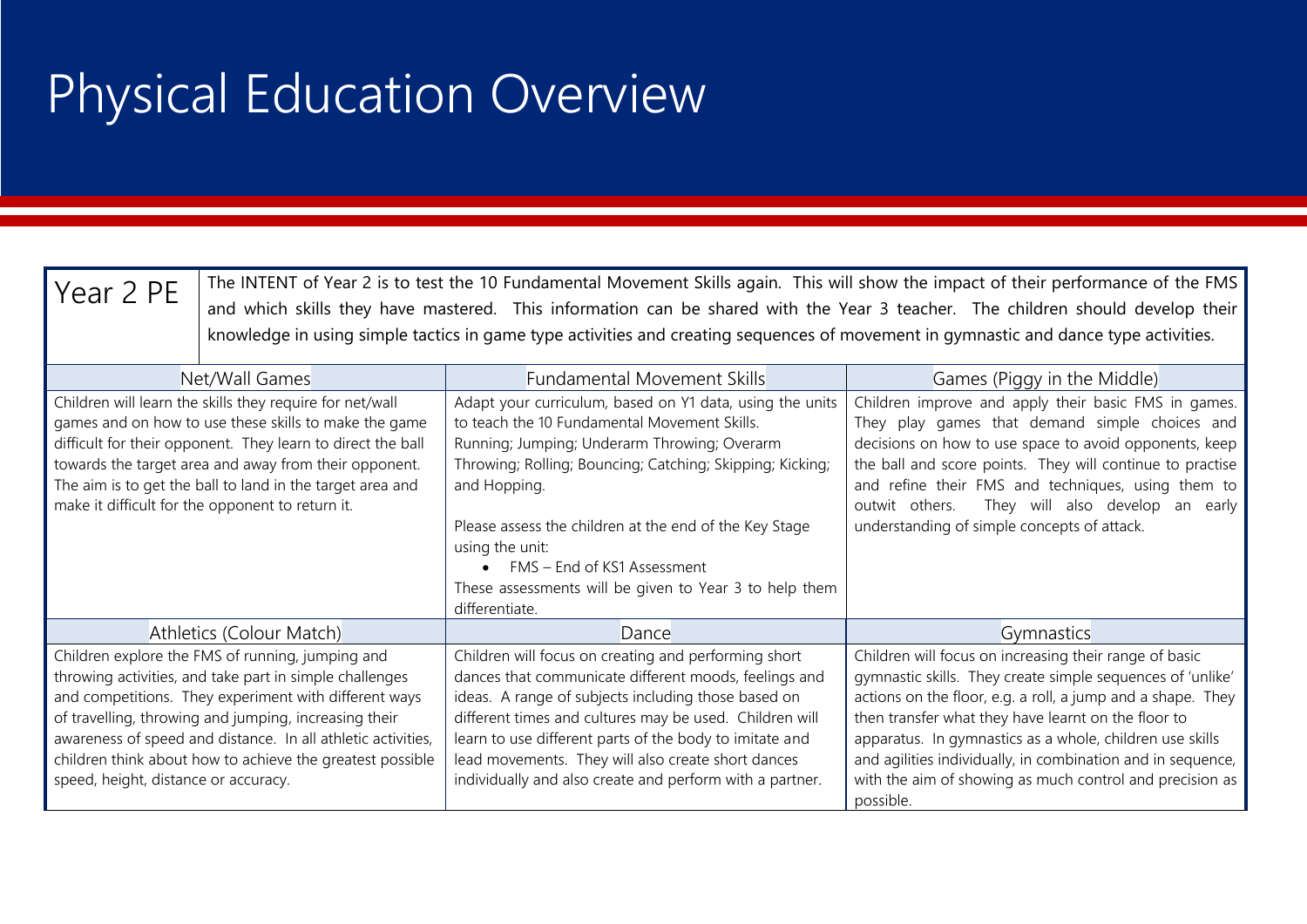### Physical Education Overview

| Year 2 PE                                                                                                                                                                                                                                                                                                                                                  | The INTENT of Year 2 is to test the 10 Fundamental Movement Skills again. This will show the impact of their performance of the FMS<br>and which skills they have mastered. This information can be shared with the Year 3 teacher. The children should develop their<br>knowledge in using simple tactics in game type activities and creating sequences of movement in gymnastic and dance type activities. |                                                                                                                                                                                                                                                                                                                                                                                                                               |                                                                                                                                                                                                                                                                                                                                                                                                                                                |  |  |  |  |  |
|------------------------------------------------------------------------------------------------------------------------------------------------------------------------------------------------------------------------------------------------------------------------------------------------------------------------------------------------------------|---------------------------------------------------------------------------------------------------------------------------------------------------------------------------------------------------------------------------------------------------------------------------------------------------------------------------------------------------------------------------------------------------------------|-------------------------------------------------------------------------------------------------------------------------------------------------------------------------------------------------------------------------------------------------------------------------------------------------------------------------------------------------------------------------------------------------------------------------------|------------------------------------------------------------------------------------------------------------------------------------------------------------------------------------------------------------------------------------------------------------------------------------------------------------------------------------------------------------------------------------------------------------------------------------------------|--|--|--|--|--|
|                                                                                                                                                                                                                                                                                                                                                            | Net/Wall Games                                                                                                                                                                                                                                                                                                                                                                                                | <b>Fundamental Movement Skills</b>                                                                                                                                                                                                                                                                                                                                                                                            | Games (Piggy in the Middle)                                                                                                                                                                                                                                                                                                                                                                                                                    |  |  |  |  |  |
| Children will learn the skills they require for net/wall<br>games and on how to use these skills to make the game<br>difficult for their opponent. They learn to direct the ball<br>towards the target area and away from their opponent.<br>The aim is to get the ball to land in the target area and<br>make it difficult for the opponent to return it. |                                                                                                                                                                                                                                                                                                                                                                                                               | Adapt your curriculum, based on Y1 data, using the units<br>to teach the 10 Fundamental Movement Skills.<br>Running; Jumping; Underarm Throwing; Overarm<br>Throwing; Rolling; Bouncing; Catching; Skipping; Kicking;<br>and Hopping.<br>Please assess the children at the end of the Key Stage<br>using the unit:<br>FMS - End of KS1 Assessment<br>These assessments will be given to Year 3 to help them<br>differentiate. | Children improve and apply their basic FMS in games.<br>They play games that demand simple choices and<br>decisions on how to use space to avoid opponents, keep<br>the ball and score points. They will continue to practise<br>and refine their FMS and techniques, using them to<br>They will also develop an early<br>outwit others.<br>understanding of simple concepts of attack.                                                        |  |  |  |  |  |
|                                                                                                                                                                                                                                                                                                                                                            | Athletics (Colour Match)                                                                                                                                                                                                                                                                                                                                                                                      | Dance                                                                                                                                                                                                                                                                                                                                                                                                                         | Gymnastics                                                                                                                                                                                                                                                                                                                                                                                                                                     |  |  |  |  |  |
| speed, height, distance or accuracy.                                                                                                                                                                                                                                                                                                                       | Children explore the FMS of running, jumping and<br>throwing activities, and take part in simple challenges<br>and competitions. They experiment with different ways<br>of travelling, throwing and jumping, increasing their<br>awareness of speed and distance. In all athletic activities,<br>children think about how to achieve the greatest possible                                                    | Children will focus on creating and performing short<br>dances that communicate different moods, feelings and<br>ideas. A range of subjects including those based on<br>different times and cultures may be used. Children will<br>learn to use different parts of the body to imitate and<br>lead movements. They will also create short dances<br>individually and also create and perform with a partner.                  | Children will focus on increasing their range of basic<br>gymnastic skills. They create simple sequences of 'unlike'<br>actions on the floor, e.g. a roll, a jump and a shape. They<br>then transfer what they have learnt on the floor to<br>apparatus. In gymnastics as a whole, children use skills<br>and agilities individually, in combination and in sequence,<br>with the aim of showing as much control and precision as<br>possible. |  |  |  |  |  |